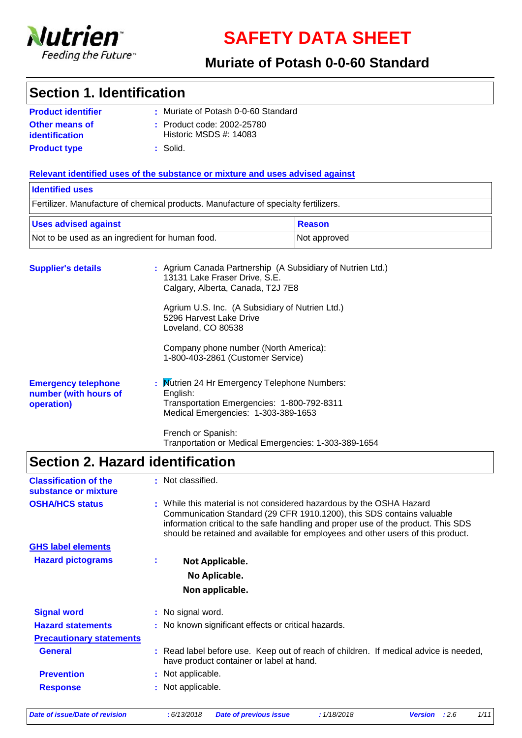

**SAFETY DATA SHEET**

### **Muriate of Potash 0-0-60 Standard**

### **Section 1. Identification**

| <b>Product identifier</b>        | : Muriate of Potash 0-0-60 Standard                        |
|----------------------------------|------------------------------------------------------------|
| Other means of<br>identification | $\pm$ Product code: 2002-25780<br>Historic MSDS $#: 14083$ |
| <b>Product type</b>              | ∴ Solid.                                                   |

#### **Relevant identified uses of the substance or mixture and uses advised against**

### **Supplier's details :** Agrium Canada Partnership (A Subsidiary of Nutrien Ltd.) 13131 Lake Fraser Drive, S.E. Calgary, Alberta, Canada, T2J 7E8 Agrium U.S. Inc. (A Subsidiary of Nutrien Ltd.) 5296 Harvest Lake Drive Loveland, CO 80538 Company phone number (North America): 1-800-403-2861 (Customer Service) Fertilizer. Manufacture of chemical products. Manufacture of specialty fertilizers. **Identified uses** Not to be used as an ingredient for human food. Not approved Uses advised against **Reason**

| <b>Emergency telephone</b><br>number (with hours of<br>operation) | : Mutrien 24 Hr Emergency Telephone Numbers:<br>English:<br>Transportation Emergencies: 1-800-792-8311<br>Medical Emergencies: 1-303-389-1653 |
|-------------------------------------------------------------------|-----------------------------------------------------------------------------------------------------------------------------------------------|
|                                                                   |                                                                                                                                               |

French or Spanish: Tranportation or Medical Emergencies: 1-303-389-1654

# **Section 2. Hazard identification**

| <b>Classification of the</b><br>substance or mixture |    | : Not classified.                                                                                                                                                                                                                                                                                                     |
|------------------------------------------------------|----|-----------------------------------------------------------------------------------------------------------------------------------------------------------------------------------------------------------------------------------------------------------------------------------------------------------------------|
| <b>OSHA/HCS status</b>                               |    | : While this material is not considered hazardous by the OSHA Hazard<br>Communication Standard (29 CFR 1910.1200), this SDS contains valuable<br>information critical to the safe handling and proper use of the product. This SDS<br>should be retained and available for employees and other users of this product. |
| <b>GHS label elements</b>                            |    |                                                                                                                                                                                                                                                                                                                       |
| <b>Hazard pictograms</b>                             | ÷. | Not Applicable.                                                                                                                                                                                                                                                                                                       |
|                                                      |    | No Aplicable.                                                                                                                                                                                                                                                                                                         |
|                                                      |    | Non applicable.                                                                                                                                                                                                                                                                                                       |
| <b>Signal word</b>                                   |    | : No signal word.                                                                                                                                                                                                                                                                                                     |
| <b>Hazard statements</b>                             |    | : No known significant effects or critical hazards.                                                                                                                                                                                                                                                                   |
| <b>Precautionary statements</b>                      |    |                                                                                                                                                                                                                                                                                                                       |
| <b>General</b>                                       |    | : Read label before use. Keep out of reach of children. If medical advice is needed,<br>have product container or label at hand.                                                                                                                                                                                      |
| <b>Prevention</b>                                    |    | : Not applicable.                                                                                                                                                                                                                                                                                                     |
| <b>Response</b>                                      |    | : Not applicable.                                                                                                                                                                                                                                                                                                     |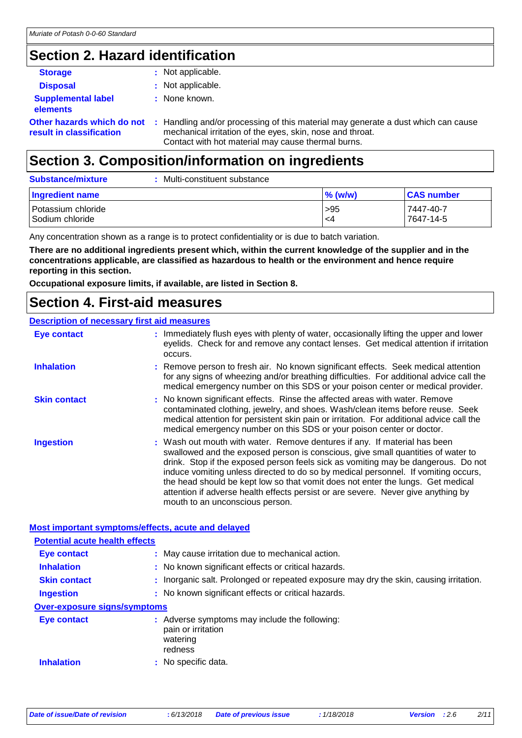## **Section 2. Hazard identification**

| <b>Storage</b>                                         | : Not applicable.                                                                                                                                                                                    |
|--------------------------------------------------------|------------------------------------------------------------------------------------------------------------------------------------------------------------------------------------------------------|
| <b>Disposal</b>                                        | : Not applicable.                                                                                                                                                                                    |
| <b>Supplemental label</b><br><b>elements</b>           | : None known.                                                                                                                                                                                        |
| Other hazards which do not<br>result in classification | : Handling and/or processing of this material may generate a dust which can cause<br>mechanical irritation of the eyes, skin, nose and throat.<br>Contact with hot material may cause thermal burns. |

### **Section 3. Composition/information on ingredients**

| <b>Substance/mixture</b>              | Multi-constituent substance |            |                        |
|---------------------------------------|-----------------------------|------------|------------------------|
| Ingredient name                       |                             | $\%$ (w/w) | <b>CAS number</b>      |
| Potassium chloride<br>Sodium chloride |                             | >95<br>-4  | 7447-40-7<br>7647-14-5 |

Any concentration shown as a range is to protect confidentiality or is due to batch variation.

**There are no additional ingredients present which, within the current knowledge of the supplier and in the concentrations applicable, are classified as hazardous to health or the environment and hence require reporting in this section.**

**Occupational exposure limits, if available, are listed in Section 8.**

### **Section 4. First-aid measures**

#### **Description of necessary first aid measures**

| <b>Eye contact</b>  | : Immediately flush eyes with plenty of water, occasionally lifting the upper and lower<br>eyelids. Check for and remove any contact lenses. Get medical attention if irritation<br>occurs.                                                                                                                                                                                                                                                                                                                                                         |
|---------------------|-----------------------------------------------------------------------------------------------------------------------------------------------------------------------------------------------------------------------------------------------------------------------------------------------------------------------------------------------------------------------------------------------------------------------------------------------------------------------------------------------------------------------------------------------------|
| <b>Inhalation</b>   | : Remove person to fresh air. No known significant effects. Seek medical attention<br>for any signs of wheezing and/or breathing difficulties. For additional advice call the<br>medical emergency number on this SDS or your poison center or medical provider.                                                                                                                                                                                                                                                                                    |
| <b>Skin contact</b> | : No known significant effects. Rinse the affected areas with water. Remove<br>contaminated clothing, jewelry, and shoes. Wash/clean items before reuse. Seek<br>medical attention for persistent skin pain or irritation. For additional advice call the<br>medical emergency number on this SDS or your poison center or doctor.                                                                                                                                                                                                                  |
| <b>Ingestion</b>    | : Wash out mouth with water. Remove dentures if any. If material has been<br>swallowed and the exposed person is conscious, give small quantities of water to<br>drink. Stop if the exposed person feels sick as vomiting may be dangerous. Do not<br>induce vomiting unless directed to do so by medical personnel. If vomiting occurs,<br>the head should be kept low so that vomit does not enter the lungs. Get medical<br>attention if adverse health effects persist or are severe. Never give anything by<br>mouth to an unconscious person. |

#### **Most important symptoms/effects, acute and delayed**

| <b>Potential acute health effects</b> |                                                                                            |
|---------------------------------------|--------------------------------------------------------------------------------------------|
| Eye contact                           | : May cause irritation due to mechanical action.                                           |
| <b>Inhalation</b>                     | : No known significant effects or critical hazards.                                        |
| <b>Skin contact</b>                   | : Inorganic salt. Prolonged or repeated exposure may dry the skin, causing irritation.     |
| <b>Ingestion</b>                      | : No known significant effects or critical hazards.                                        |
| <b>Over-exposure signs/symptoms</b>   |                                                                                            |
| Eye contact                           | : Adverse symptoms may include the following:<br>pain or irritation<br>watering<br>redness |
| <b>Inhalation</b>                     | : No specific data.                                                                        |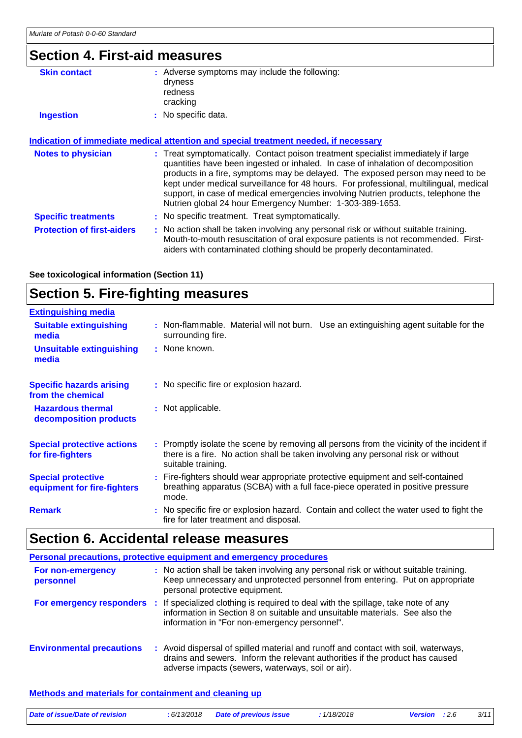### **Section 4. First-aid measures**

| <b>Skin contact</b>        | : Adverse symptoms may include the following:                                         |
|----------------------------|---------------------------------------------------------------------------------------|
|                            | dryness                                                                               |
|                            | redness                                                                               |
|                            | cracking                                                                              |
| <b>Ingestion</b>           | : No specific data.                                                                   |
|                            |                                                                                       |
|                            | Indication of immediate medical attention and special treatment needed, if necessary  |
| <b>Notes to physician</b>  | : Treat symptomatically. Contact poison treatment specialist immediately if large     |
|                            | quantities have been ingested or inhaled. In case of inhalation of decomposition      |
|                            | products in a fire, symptoms may be delayed. The exposed person may need to be        |
|                            | kept under medical surveillance for 48 hours. For professional, multilingual, medical |
|                            | support, in case of medical emergencies involving Nutrien products, telephone the     |
|                            | Nutrien global 24 hour Emergency Number: 1-303-389-1653.                              |
|                            |                                                                                       |
| <b>Specific treatments</b> | : No specific treatment. Treat symptomatically.                                       |

**Protection of first-aiders** : No action shall be taken involving any personal risk or without suitable training. Mouth-to-mouth resuscitation of oral exposure patients is not recommended. Firstaiders with contaminated clothing should be properly decontaminated.

**See toxicological information (Section 11)**

# **Section 5. Fire-fighting measures**

| <b>Extinguishing media</b>                               |                                                                                                                                                                                                     |
|----------------------------------------------------------|-----------------------------------------------------------------------------------------------------------------------------------------------------------------------------------------------------|
| <b>Suitable extinguishing</b><br>media                   | : Non-flammable. Material will not burn. Use an extinguishing agent suitable for the<br>surrounding fire.                                                                                           |
| <b>Unsuitable extinguishing</b><br>media                 | : None known.                                                                                                                                                                                       |
| <b>Specific hazards arising</b><br>from the chemical     | : No specific fire or explosion hazard.                                                                                                                                                             |
| <b>Hazardous thermal</b><br>decomposition products       | : Not applicable.                                                                                                                                                                                   |
| <b>Special protective actions</b><br>for fire-fighters   | : Promptly isolate the scene by removing all persons from the vicinity of the incident if<br>there is a fire. No action shall be taken involving any personal risk or without<br>suitable training. |
| <b>Special protective</b><br>equipment for fire-fighters | : Fire-fighters should wear appropriate protective equipment and self-contained<br>breathing apparatus (SCBA) with a full face-piece operated in positive pressure<br>mode.                         |
| <b>Remark</b>                                            | : No specific fire or explosion hazard. Contain and collect the water used to fight the<br>fire for later treatment and disposal.                                                                   |

# **Section 6. Accidental release measures**

|                                  | Personal precautions, protective equipment and emergency procedures                                                                                                                                                                        |
|----------------------------------|--------------------------------------------------------------------------------------------------------------------------------------------------------------------------------------------------------------------------------------------|
| For non-emergency<br>personnel   | : No action shall be taken involving any personal risk or without suitable training.<br>Keep unnecessary and unprotected personnel from entering. Put on appropriate<br>personal protective equipment.                                     |
|                                  | For emergency responders : If specialized clothing is required to deal with the spillage, take note of any<br>information in Section 8 on suitable and unsuitable materials. See also the<br>information in "For non-emergency personnel". |
| <b>Environmental precautions</b> | : Avoid dispersal of spilled material and runoff and contact with soil, waterways,<br>drains and sewers. Inform the relevant authorities if the product has caused<br>adverse impacts (sewers, waterways, soil or air).                    |

#### **Methods and materials for containment and cleaning up**

| Date of issue/Date of revision | : 6/13/2018 Date of previous issue | 1/18/2018 | <b>Version</b> : 2.6 | 3/11 |
|--------------------------------|------------------------------------|-----------|----------------------|------|
|                                |                                    |           |                      |      |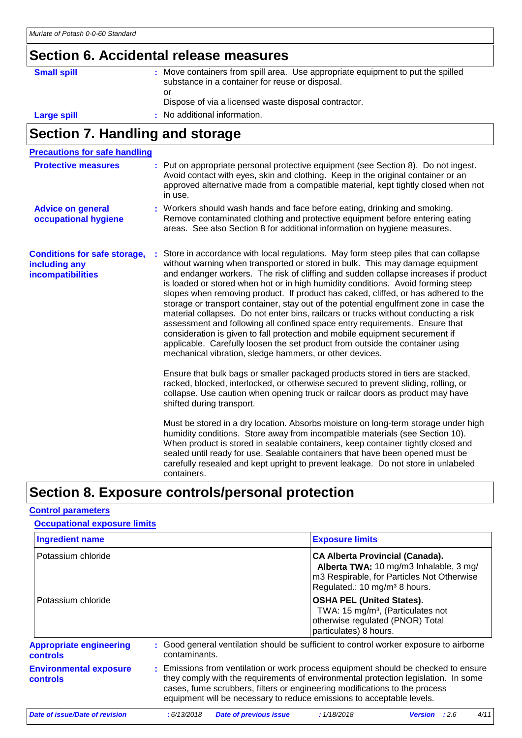# **Section 6. Accidental release measures**

| <b>Small spill</b> | : Move containers from spill area. Use appropriate equipment to put the spilled<br>substance in a container for reuse or disposal. |
|--------------------|------------------------------------------------------------------------------------------------------------------------------------|
|                    | or<br>Dispose of via a licensed waste disposal contractor.                                                                         |
| Large spill        | : No additional information.                                                                                                       |

# **Section 7. Handling and storage**

| <b>Precautions for safe handling</b>                                      |                                                                                                                                                                                                                                                                                                                                                                                                                                                                                                                                                                                                                                                                                                                                                                                                                                                                                                                                 |
|---------------------------------------------------------------------------|---------------------------------------------------------------------------------------------------------------------------------------------------------------------------------------------------------------------------------------------------------------------------------------------------------------------------------------------------------------------------------------------------------------------------------------------------------------------------------------------------------------------------------------------------------------------------------------------------------------------------------------------------------------------------------------------------------------------------------------------------------------------------------------------------------------------------------------------------------------------------------------------------------------------------------|
| <b>Protective measures</b>                                                | : Put on appropriate personal protective equipment (see Section 8). Do not ingest.<br>Avoid contact with eyes, skin and clothing. Keep in the original container or an<br>approved alternative made from a compatible material, kept tightly closed when not<br>in use.                                                                                                                                                                                                                                                                                                                                                                                                                                                                                                                                                                                                                                                         |
| <b>Advice on general</b><br>occupational hygiene                          | : Workers should wash hands and face before eating, drinking and smoking.<br>Remove contaminated clothing and protective equipment before entering eating<br>areas. See also Section 8 for additional information on hygiene measures.                                                                                                                                                                                                                                                                                                                                                                                                                                                                                                                                                                                                                                                                                          |
| <b>Conditions for safe storage,</b><br>including any<br>incompatibilities | Store in accordance with local regulations. May form steep piles that can collapse<br>without warning when transported or stored in bulk. This may damage equipment<br>and endanger workers. The risk of cliffing and sudden collapse increases if product<br>is loaded or stored when hot or in high humidity conditions. Avoid forming steep<br>slopes when removing product. If product has caked, cliffed, or has adhered to the<br>storage or transport container, stay out of the potential engulfment zone in case the<br>material collapses. Do not enter bins, railcars or trucks without conducting a risk<br>assessment and following all confined space entry requirements. Ensure that<br>consideration is given to fall protection and mobile equipment securement if<br>applicable. Carefully loosen the set product from outside the container using<br>mechanical vibration, sledge hammers, or other devices. |
|                                                                           | Ensure that bulk bags or smaller packaged products stored in tiers are stacked,<br>racked, blocked, interlocked, or otherwise secured to prevent sliding, rolling, or<br>collapse. Use caution when opening truck or railcar doors as product may have<br>shifted during transport.                                                                                                                                                                                                                                                                                                                                                                                                                                                                                                                                                                                                                                             |
|                                                                           | Must be stored in a dry location. Absorbs moisture on long-term storage under high<br>humidity conditions. Store away from incompatible materials (see Section 10).<br>When product is stored in sealable containers, keep container tightly closed and<br>sealed until ready for use. Sealable containers that have been opened must be<br>carefully resealed and kept upright to prevent leakage. Do not store in unlabeled<br>containers.                                                                                                                                                                                                                                                                                                                                                                                                                                                                                    |

### **Section 8. Exposure controls/personal protection**

### **Control parameters**

| <b>Occupational exposure limits</b>               |                                                                                                                                                                                                                                                                                                                                 |
|---------------------------------------------------|---------------------------------------------------------------------------------------------------------------------------------------------------------------------------------------------------------------------------------------------------------------------------------------------------------------------------------|
| <b>Ingredient name</b>                            | <b>Exposure limits</b>                                                                                                                                                                                                                                                                                                          |
| Potassium chloride                                | <b>CA Alberta Provincial (Canada).</b><br>Alberta TWA: 10 mg/m3 Inhalable, 3 mg/<br>m3 Respirable, for Particles Not Otherwise<br>Regulated.: 10 mg/m <sup>3</sup> 8 hours.                                                                                                                                                     |
| Potassium chloride                                | <b>OSHA PEL (United States).</b><br>TWA: 15 mg/m <sup>3</sup> , (Particulates not<br>otherwise regulated (PNOR) Total<br>particulates) 8 hours.                                                                                                                                                                                 |
| <b>Appropriate engineering</b><br><b>controls</b> | : Good general ventilation should be sufficient to control worker exposure to airborne<br>contaminants.                                                                                                                                                                                                                         |
| <b>Environmental exposure</b><br><b>controls</b>  | : Emissions from ventilation or work process equipment should be checked to ensure<br>they comply with the requirements of environmental protection legislation. In some<br>cases, fume scrubbers, filters or engineering modifications to the process<br>equipment will be necessary to reduce emissions to acceptable levels. |
| Date of issue/Date of revision                    | 4/11<br><b>Date of previous issue</b><br>:6/13/2018<br>:1/18/2018<br><b>Version</b><br>:2.6                                                                                                                                                                                                                                     |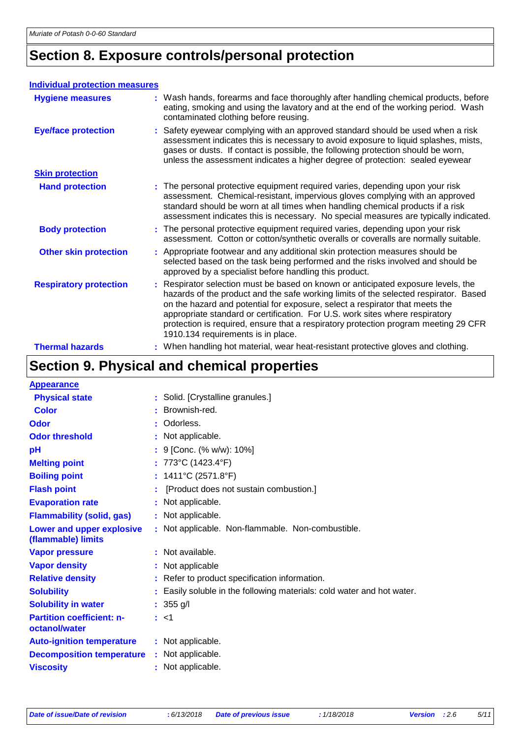# **Section 8. Exposure controls/personal protection**

#### **Individual protection measures**

| <b>Hygiene measures</b>       | : Wash hands, forearms and face thoroughly after handling chemical products, before<br>eating, smoking and using the lavatory and at the end of the working period. Wash<br>contaminated clothing before reusing.                                                                                                                                                                                                                                                      |
|-------------------------------|------------------------------------------------------------------------------------------------------------------------------------------------------------------------------------------------------------------------------------------------------------------------------------------------------------------------------------------------------------------------------------------------------------------------------------------------------------------------|
| <b>Eye/face protection</b>    | : Safety eyewear complying with an approved standard should be used when a risk<br>assessment indicates this is necessary to avoid exposure to liquid splashes, mists,<br>gases or dusts. If contact is possible, the following protection should be worn,<br>unless the assessment indicates a higher degree of protection: sealed eyewear                                                                                                                            |
| <b>Skin protection</b>        |                                                                                                                                                                                                                                                                                                                                                                                                                                                                        |
| <b>Hand protection</b>        | : The personal protective equipment required varies, depending upon your risk<br>assessment. Chemical-resistant, impervious gloves complying with an approved<br>standard should be worn at all times when handling chemical products if a risk<br>assessment indicates this is necessary. No special measures are typically indicated.                                                                                                                                |
| <b>Body protection</b>        | : The personal protective equipment required varies, depending upon your risk<br>assessment. Cotton or cotton/synthetic overalls or coveralls are normally suitable.                                                                                                                                                                                                                                                                                                   |
| <b>Other skin protection</b>  | : Appropriate footwear and any additional skin protection measures should be<br>selected based on the task being performed and the risks involved and should be<br>approved by a specialist before handling this product.                                                                                                                                                                                                                                              |
| <b>Respiratory protection</b> | : Respirator selection must be based on known or anticipated exposure levels, the<br>hazards of the product and the safe working limits of the selected respirator. Based<br>on the hazard and potential for exposure, select a respirator that meets the<br>appropriate standard or certification. For U.S. work sites where respiratory<br>protection is required, ensure that a respiratory protection program meeting 29 CFR<br>1910.134 requirements is in place. |
| <b>Thermal hazards</b>        | : When handling hot material, wear heat-resistant protective gloves and clothing.                                                                                                                                                                                                                                                                                                                                                                                      |

# **Section 9. Physical and chemical properties**

| <b>Appearance</b>                                 |                                                                            |
|---------------------------------------------------|----------------------------------------------------------------------------|
| <b>Physical state</b>                             | : Solid. [Crystalline granules.]                                           |
| <b>Color</b>                                      | Brownish-red.                                                              |
| Odor                                              | : Odorless.                                                                |
| <b>Odor threshold</b>                             | : Not applicable.                                                          |
| рH                                                | : 9 [Conc. (% w/w): 10%]                                                   |
| <b>Melting point</b>                              | : 773°C (1423.4°F)                                                         |
| <b>Boiling point</b>                              | : $1411^{\circ}C(2571.8^{\circ}F)$                                         |
| <b>Flash point</b>                                | [Product does not sustain combustion.]                                     |
| <b>Evaporation rate</b>                           | : Not applicable.                                                          |
| <b>Flammability (solid, gas)</b>                  | : Not applicable.                                                          |
| Lower and upper explosive<br>(flammable) limits   | : Not applicable. Non-flammable. Non-combustible.                          |
| <b>Vapor pressure</b>                             | : Not available.                                                           |
| <b>Vapor density</b>                              | : Not applicable                                                           |
| <b>Relative density</b>                           | : Refer to product specification information.                              |
| <b>Solubility</b>                                 | Easily soluble in the following materials: cold water and hot water.<br>t. |
| <b>Solubility in water</b>                        | : $355$ g/l                                                                |
| <b>Partition coefficient: n-</b><br>octanol/water | : <1                                                                       |
| <b>Auto-ignition temperature</b>                  | : Not applicable.                                                          |
| <b>Decomposition temperature</b>                  | : Not applicable.                                                          |
| <b>Viscosity</b>                                  | : Not applicable.                                                          |
|                                                   |                                                                            |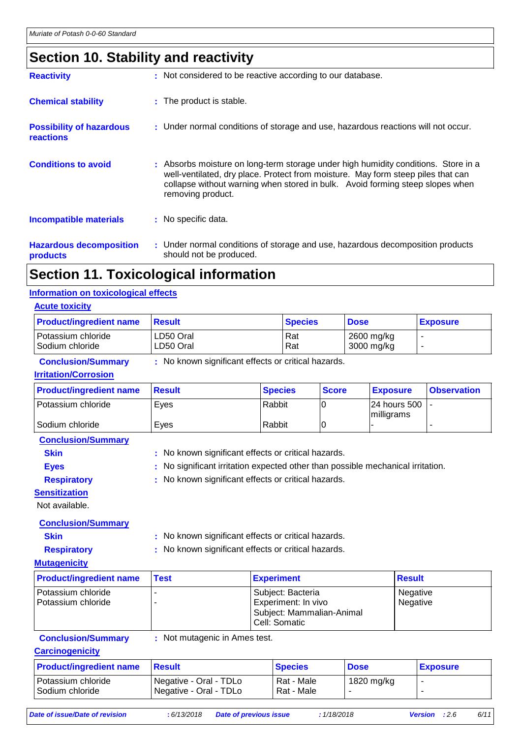# **Section 10. Stability and reactivity**

| <b>Reactivity</b>                                   | : Not considered to be reactive according to our database.                                                                                                                                                                                                                   |
|-----------------------------------------------------|------------------------------------------------------------------------------------------------------------------------------------------------------------------------------------------------------------------------------------------------------------------------------|
| <b>Chemical stability</b>                           | : The product is stable.                                                                                                                                                                                                                                                     |
| <b>Possibility of hazardous</b><br><b>reactions</b> | : Under normal conditions of storage and use, hazardous reactions will not occur.                                                                                                                                                                                            |
| <b>Conditions to avoid</b>                          | : Absorbs moisture on long-term storage under high humidity conditions. Store in a<br>well-ventilated, dry place. Protect from moisture. May form steep piles that can<br>collapse without warning when stored in bulk. Avoid forming steep slopes when<br>removing product. |
| <b>Incompatible materials</b>                       | : No specific data.                                                                                                                                                                                                                                                          |
| <b>Hazardous decomposition</b><br>products          | : Under normal conditions of storage and use, hazardous decomposition products<br>should not be produced.                                                                                                                                                                    |
|                                                     |                                                                                                                                                                                                                                                                              |

### **Section 11. Toxicological information**

#### **Information on toxicological effects**

| <b>Acute toxicity</b>                 |                        |                |                          |                 |
|---------------------------------------|------------------------|----------------|--------------------------|-----------------|
| <b>Product/ingredient name</b>        | <b>Result</b>          | <b>Species</b> | <b>Dose</b>              | <b>Exposure</b> |
| Potassium chloride<br>Sodium chloride | LD50 Oral<br>LD50 Oral | l Rat<br>Rat   | 2600 mg/kg<br>3000 mg/kg | -               |

#### **Conclusion/Summary :** No known significant effects or critical hazards.

#### **Irritation/Corrosion**

| <b>Product/ingredient name</b> | <b>⊟Result</b> | <b>Species</b> | <b>Score</b> | <b>Exposure</b>                     | <b>Observation</b> |
|--------------------------------|----------------|----------------|--------------|-------------------------------------|--------------------|
| Potassium chloride             | Eves           | Rabbit         |              | $ 24$ hours 500 $ $ -<br>milligrams |                    |
| Sodium chloride                | Eves           | Rabbit         |              |                                     |                    |

**Conclusion/Summary**

- **Skin** : No known significant effects or critical hazards.
	-

**Eyes** : No significant irritation expected other than possible mechanical irritation.

**Respiratory :** No known significant effects or critical hazards.

**Sensitization**

Not available.

#### **Conclusion/Summary**

**Skin :** No known significant effects or critical hazards.

**Respiratory :** No known significant effects or critical hazards.

#### **Mutagenicity**

| <b>Product/ingredient name</b>             | <b>Test</b> | <b>Experiment</b>                                                                        | <b>Result</b>        |
|--------------------------------------------|-------------|------------------------------------------------------------------------------------------|----------------------|
| l Potassium chloride<br>Potassium chloride |             | Subject: Bacteria<br>Experiment: In vivo<br>Subject: Mammalian-Animal<br>l Cell: Somatic | Negative<br>Negative |

**Conclusion/Summary :** Not mutagenic in Ames test.

#### **Carcinogenicity**

| <b>Product/ingredient name</b>          | <b>Besult</b>                                                 | <b>Species</b>           | <b>Dose</b> | <b>Exposure</b> |
|-----------------------------------------|---------------------------------------------------------------|--------------------------|-------------|-----------------|
| Potassium chloride<br>l Sodium chloride | Negative - Oral - TDLo<br><sup>1</sup> Negative - Oral - TDLo | Rat - Male<br>Rat - Male | 1820 mg/kg  |                 |

*Date of issue/Date of revision* **:** *6/13/2018 Date of previous issue : 1/18/2018 Version : 2.6 6/11*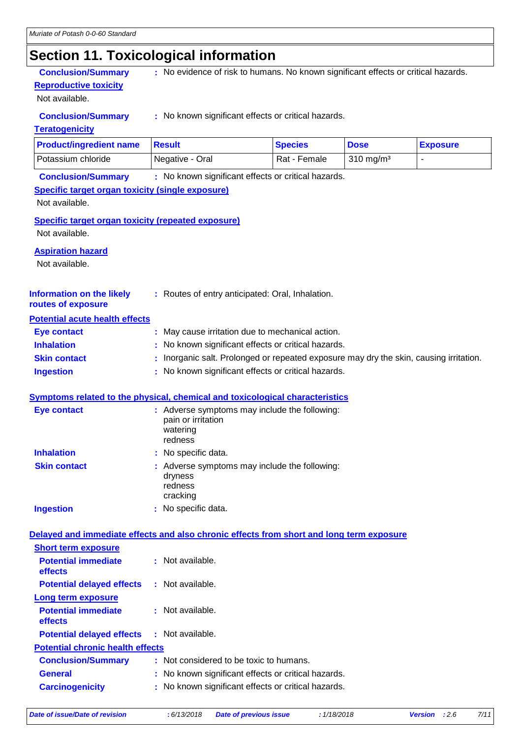# **Section 11. Toxicological information**

**Reproductive toxicity**

Not available.

**Conclusion/Summary** : No evidence of risk to humans. No known significant effects or critical hazards.

**Conclusion/Summary :** No known significant effects or critical hazards.

#### **Teratogenicity**

| <b>Product/ingredient name</b> | <b>Besult</b>   | <b>Species</b> | <b>Dose</b>          | <b>Exposure</b> |
|--------------------------------|-----------------|----------------|----------------------|-----------------|
| Potassium chloride             | Negative - Oral | Rat - Female   | $310 \text{ ma/m}^3$ |                 |

**Conclusion/Summary :** No known significant effects or critical hazards.

#### **Specific target organ toxicity (single exposure)**

Not available.

**Specific target organ toxicity (repeated exposure)**

Not available.

#### **Aspiration hazard**

Not available.

| <b>Information on the likely</b> | : Routes of entry anticipated: Oral, Inhalation. |
|----------------------------------|--------------------------------------------------|
|                                  |                                                  |

#### **routes of exposure Potential acute health effects**

| I VIVIIIIUI UVUIV HVUIIII VIIVVIV |                                                                                        |
|-----------------------------------|----------------------------------------------------------------------------------------|
| Eye contact                       | : May cause irritation due to mechanical action.                                       |
| <b>Inhalation</b>                 | : No known significant effects or critical hazards.                                    |
| <b>Skin contact</b>               | : Inorganic salt. Prolonged or repeated exposure may dry the skin, causing irritation. |
| <b>Ingestion</b>                  | : No known significant effects or critical hazards.                                    |

#### **Symptoms related to the physical, chemical and toxicological characteristics**

| <b>Eye contact</b>  | : Adverse symptoms may include the following:<br>pain or irritation<br>watering<br>redness |
|---------------------|--------------------------------------------------------------------------------------------|
| <b>Inhalation</b>   | : No specific data.                                                                        |
| <b>Skin contact</b> | : Adverse symptoms may include the following:<br>dryness<br>redness<br>cracking            |
| <b>Ingestion</b>    | No specific data.                                                                          |

#### **Delayed and immediate effects and also chronic effects from short and long term exposure**

| <b>Short term exposure</b>                        |                                                     |  |
|---------------------------------------------------|-----------------------------------------------------|--|
| <b>Potential immediate</b><br>effects             | $\cdot$ Not available.                              |  |
| <b>Potential delayed effects</b>                  | : Not available.                                    |  |
| Long term exposure                                |                                                     |  |
| <b>Potential immediate</b><br>effects             | : Not available.                                    |  |
| <b>Potential delayed effects : Not available.</b> |                                                     |  |
| <b>Potential chronic health effects</b>           |                                                     |  |
| <b>Conclusion/Summary</b>                         | : Not considered to be toxic to humans.             |  |
| <b>General</b>                                    | : No known significant effects or critical hazards. |  |
| <b>Carcinogenicity</b>                            | : No known significant effects or critical hazards. |  |
|                                                   |                                                     |  |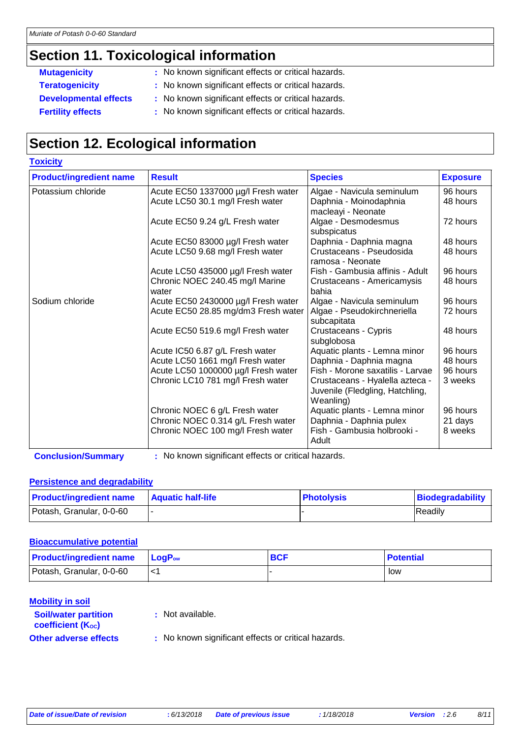## **Section 11. Toxicological information**

**Toxicity**

- **Mutagenicity** : No known significant effects or critical hazards.
- **Teratogenicity :** No known significant effects or critical hazards.
- **Developmental effects :** No known significant effects or critical hazards.
- **Fertility effects** : No known significant effects or critical hazards.

# **Section 12. Ecological information**

| <b>TOXICITY</b>                |                                                                         |                                                                    |                      |
|--------------------------------|-------------------------------------------------------------------------|--------------------------------------------------------------------|----------------------|
| <b>Product/ingredient name</b> | <b>Result</b>                                                           | <b>Species</b>                                                     | <b>Exposure</b>      |
| Potassium chloride             | Acute EC50 1337000 µg/l Fresh water                                     | Algae - Navicula seminulum                                         | 96 hours             |
|                                | Acute LC50 30.1 mg/l Fresh water                                        | Daphnia - Moinodaphnia                                             | 48 hours             |
|                                |                                                                         | macleayi - Neonate                                                 |                      |
|                                | Acute EC50 9.24 g/L Fresh water                                         | Algae - Desmodesmus                                                | 72 hours             |
|                                |                                                                         | subspicatus                                                        |                      |
|                                | Acute EC50 83000 µg/l Fresh water                                       | Daphnia - Daphnia magna                                            | 48 hours             |
|                                | Acute LC50 9.68 mg/l Fresh water                                        | Crustaceans - Pseudosida                                           | 48 hours             |
|                                |                                                                         | ramosa - Neonate                                                   |                      |
|                                | Acute LC50 435000 µg/l Fresh water                                      | Fish - Gambusia affinis - Adult                                    | 96 hours             |
|                                | Chronic NOEC 240.45 mg/l Marine                                         | Crustaceans - Americamysis                                         | 48 hours             |
|                                | water                                                                   | bahia                                                              |                      |
| Sodium chloride                | Acute EC50 2430000 µg/l Fresh water                                     | Algae - Navicula seminulum                                         | 96 hours             |
|                                | Acute EC50 28.85 mg/dm3 Fresh water                                     | Algae - Pseudokirchneriella                                        | 72 hours             |
|                                |                                                                         | subcapitata                                                        |                      |
|                                | Acute EC50 519.6 mg/l Fresh water                                       | Crustaceans - Cypris                                               | 48 hours             |
|                                |                                                                         | subglobosa                                                         |                      |
|                                | Acute IC50 6.87 g/L Fresh water                                         | Aquatic plants - Lemna minor                                       | 96 hours             |
|                                | Acute LC50 1661 mg/l Fresh water<br>Acute LC50 1000000 µg/l Fresh water | Daphnia - Daphnia magna<br>Fish - Morone saxatilis - Larvae        | 48 hours<br>96 hours |
|                                | Chronic LC10 781 mg/l Fresh water                                       |                                                                    | 3 weeks              |
|                                |                                                                         | Crustaceans - Hyalella azteca -<br>Juvenile (Fledgling, Hatchling, |                      |
|                                |                                                                         | Weanling)                                                          |                      |
|                                | Chronic NOEC 6 g/L Fresh water                                          | Aquatic plants - Lemna minor                                       | 96 hours             |
|                                | Chronic NOEC 0.314 g/L Fresh water                                      | Daphnia - Daphnia pulex                                            | 21 days              |
|                                | Chronic NOEC 100 mg/l Fresh water                                       | Fish - Gambusia holbrooki -                                        | 8 weeks              |
|                                |                                                                         | Adult                                                              |                      |
|                                |                                                                         |                                                                    |                      |

**Conclusion/Summary :** No known significant effects or critical hazards.

#### **Persistence and degradability**

| <b>Product/ingredient name</b> | <b>Aquatic half-life</b> | <b>Photolysis</b> | Biodegradability |
|--------------------------------|--------------------------|-------------------|------------------|
| Potash, Granular, 0-0-60       |                          |                   | Readily          |

#### **Bioaccumulative potential**

| <b>Product/ingredient name</b> | $\mathsf{LogP}_\mathsf{ow}$ | <b>BCF</b> | <b>Potential</b> |
|--------------------------------|-----------------------------|------------|------------------|
| Potash, Granular, 0-0-60       |                             |            | low              |

#### **Mobility in soil**

**:** Not available.

```
coefficient (Koc)
```
**Soil/water partition** 

**Other adverse effects** : No known significant effects or critical hazards.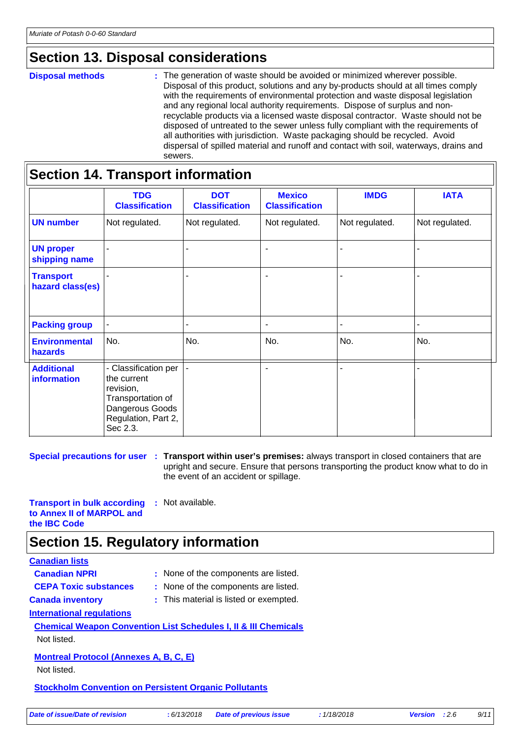### **Section 13. Disposal considerations**

#### **Disposal methods :**

The generation of waste should be avoided or minimized wherever possible. Disposal of this product, solutions and any by-products should at all times comply with the requirements of environmental protection and waste disposal legislation and any regional local authority requirements. Dispose of surplus and nonrecyclable products via a licensed waste disposal contractor. Waste should not be disposed of untreated to the sewer unless fully compliant with the requirements of all authorities with jurisdiction. Waste packaging should be recycled. Avoid dispersal of spilled material and runoff and contact with soil, waterways, drains and sewers.

|                                         | <b>TDG</b><br><b>Classification</b>                                                                                         | <b>DOT</b><br><b>Classification</b> | <b>Mexico</b><br><b>Classification</b> | <b>IMDG</b>    | <b>IATA</b>    |
|-----------------------------------------|-----------------------------------------------------------------------------------------------------------------------------|-------------------------------------|----------------------------------------|----------------|----------------|
| <b>UN number</b>                        | Not regulated.                                                                                                              | Not regulated.                      | Not regulated.                         | Not regulated. | Not regulated. |
| <b>UN proper</b><br>shipping name       |                                                                                                                             |                                     | $\blacksquare$                         |                |                |
| <b>Transport</b><br>hazard class(es)    |                                                                                                                             |                                     | $\blacksquare$                         |                |                |
| <b>Packing group</b>                    |                                                                                                                             |                                     | $\blacksquare$                         |                |                |
| <b>Environmental</b><br>hazards         | No.                                                                                                                         | No.                                 | No.                                    | No.            | No.            |
| <b>Additional</b><br><b>information</b> | - Classification per<br>the current<br>revision,<br>Transportation of<br>Dangerous Goods<br>Regulation, Part 2,<br>Sec 2.3. |                                     |                                        |                |                |

**Special precautions for user** : Transport within user's premises: always transport in closed containers that are upright and secure. Ensure that persons transporting the product know what to do in the event of an accident or spillage.

**Transport in bulk according to Annex II of MARPOL and the IBC Code :** Not available.

### **Section 15. Regulatory information**

#### **Canadian lists**

| <b>Canadian NPRI</b>                                         | : None of the components are listed.                                       |
|--------------------------------------------------------------|----------------------------------------------------------------------------|
| <b>CEPA Toxic substances</b>                                 | : None of the components are listed.                                       |
| <b>Canada inventory</b>                                      | : This material is listed or exempted.                                     |
| <b>International regulations</b>                             |                                                                            |
|                                                              | <b>Chemical Weapon Convention List Schedules I, II &amp; III Chemicals</b> |
| Not listed.                                                  |                                                                            |
| <b>Montreal Protocol (Annexes A, B, C, E)</b>                |                                                                            |
| Not listed.                                                  |                                                                            |
| <b>Stockholm Convention on Persistent Organic Pollutants</b> |                                                                            |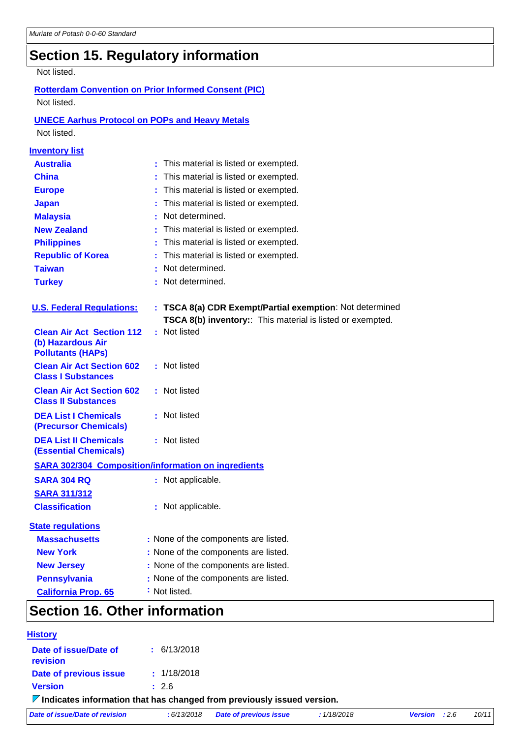# **Section 15. Regulatory information**

#### Not listed.

#### **Rotterdam Convention on Prior Informed Consent (PIC)** Not listed.

### **UNECE Aarhus Protocol on POPs and Heavy Metals**

Not listed.

| <b>Inventory list</b>                                          |                                                                            |
|----------------------------------------------------------------|----------------------------------------------------------------------------|
| <b>Australia</b>                                               | : This material is listed or exempted.                                     |
| <b>China</b>                                                   | This material is listed or exempted.                                       |
| <b>Europe</b>                                                  | This material is listed or exempted.                                       |
| <b>Japan</b>                                                   | This material is listed or exempted.                                       |
| <b>Malaysia</b>                                                | Not determined.                                                            |
| <b>New Zealand</b>                                             | This material is listed or exempted.                                       |
| <b>Philippines</b>                                             | This material is listed or exempted.                                       |
| <b>Republic of Korea</b>                                       | This material is listed or exempted.                                       |
| <b>Taiwan</b>                                                  | Not determined.                                                            |
| <b>Turkey</b>                                                  | Not determined.                                                            |
| <b>U.S. Federal Regulations:</b>                               | : TSCA 8(a) CDR Exempt/Partial exemption: Not determined                   |
| <b>Clean Air Act Section 112</b>                               | TSCA 8(b) inventory:: This material is listed or exempted.<br>: Not listed |
| (b) Hazardous Air<br><b>Pollutants (HAPs)</b>                  |                                                                            |
| <b>Clean Air Act Section 602</b><br><b>Class I Substances</b>  | : Not listed                                                               |
| <b>Clean Air Act Section 602</b><br><b>Class II Substances</b> | : Not listed                                                               |
| <b>DEA List I Chemicals</b><br>(Precursor Chemicals)           | : Not listed                                                               |
| <b>DEA List II Chemicals</b><br><b>(Essential Chemicals)</b>   | : Not listed                                                               |
|                                                                | <b>SARA 302/304 Composition/information on ingredients</b>                 |
| <b>SARA 304 RQ</b>                                             | : Not applicable.                                                          |
| <b>SARA 311/312</b>                                            |                                                                            |
| <b>Classification</b>                                          | : Not applicable.                                                          |
| <b>State regulations</b>                                       |                                                                            |
| <b>Massachusetts</b>                                           | : None of the components are listed.                                       |
| <b>New York</b>                                                | : None of the components are listed.                                       |
| <b>New Jersey</b>                                              | : None of the components are listed.                                       |
| <b>Pennsylvania</b>                                            | : None of the components are listed.                                       |
| <b>California Prop. 65</b>                                     | : Not listed.                                                              |
| Continue dC, Other information                                 |                                                                            |

### **Section 16. Other information**

| <b>History</b>                                                                         |                 |                               |             |                        |       |
|----------------------------------------------------------------------------------------|-----------------|-------------------------------|-------------|------------------------|-------|
| Date of issue/Date of<br>revision                                                      | $\pm$ 6/13/2018 |                               |             |                        |       |
| Date of previous issue                                                                 | : 1/18/2018     |                               |             |                        |       |
| <b>Version</b>                                                                         | : 2.6           |                               |             |                        |       |
| $\triangledown$ Indicates information that has changed from previously issued version. |                 |                               |             |                        |       |
| Date of issue/Date of revision                                                         | : 6/13/2018     | <b>Date of previous issue</b> | : 1/18/2018 | <b>Version</b> : $2.6$ | 10/11 |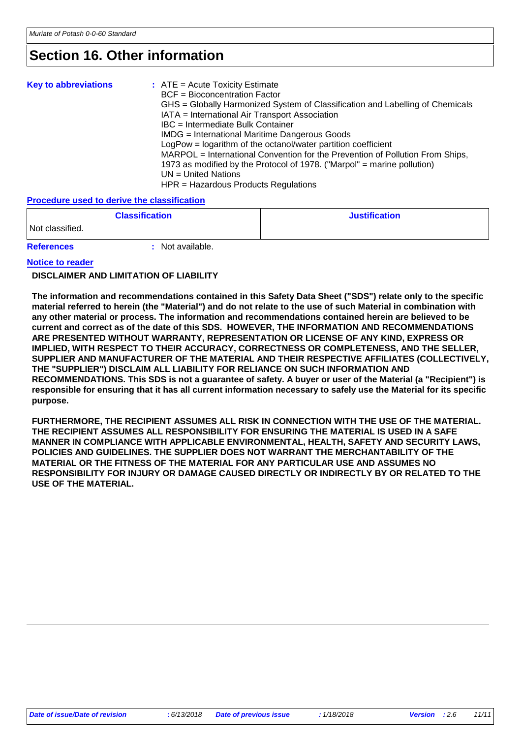### **Section 16. Other information**

| <b>Key to abbreviations</b> | $:$ ATE = Acute Toxicity Estimate<br><b>BCF</b> = Bioconcentration Factor<br>GHS = Globally Harmonized System of Classification and Labelling of Chemicals<br>IATA = International Air Transport Association<br>IBC = Intermediate Bulk Container<br><b>IMDG</b> = International Maritime Dangerous Goods<br>LogPow = logarithm of the octanol/water partition coefficient<br>MARPOL = International Convention for the Prevention of Pollution From Ships,<br>1973 as modified by the Protocol of 1978. ("Marpol" = marine pollution)<br>$UN = United Nations$ |
|-----------------------------|-----------------------------------------------------------------------------------------------------------------------------------------------------------------------------------------------------------------------------------------------------------------------------------------------------------------------------------------------------------------------------------------------------------------------------------------------------------------------------------------------------------------------------------------------------------------|
|                             | HPR = Hazardous Products Regulations                                                                                                                                                                                                                                                                                                                                                                                                                                                                                                                            |

#### **Procedure used to derive the classification**

|                   | <b>Classification</b> | <b>Justification</b> |
|-------------------|-----------------------|----------------------|
| Not classified.   |                       |                      |
| <b>References</b> | Not available.        |                      |

#### **Notice to reader**

#### **DISCLAIMER AND LIMITATION OF LIABILITY**

**The information and recommendations contained in this Safety Data Sheet ("SDS") relate only to the specific material referred to herein (the "Material") and do not relate to the use of such Material in combination with any other material or process. The information and recommendations contained herein are believed to be current and correct as of the date of this SDS. HOWEVER, THE INFORMATION AND RECOMMENDATIONS ARE PRESENTED WITHOUT WARRANTY, REPRESENTATION OR LICENSE OF ANY KIND, EXPRESS OR IMPLIED, WITH RESPECT TO THEIR ACCURACY, CORRECTNESS OR COMPLETENESS, AND THE SELLER, SUPPLIER AND MANUFACTURER OF THE MATERIAL AND THEIR RESPECTIVE AFFILIATES (COLLECTIVELY, THE "SUPPLIER") DISCLAIM ALL LIABILITY FOR RELIANCE ON SUCH INFORMATION AND RECOMMENDATIONS. This SDS is not a guarantee of safety. A buyer or user of the Material (a "Recipient") is responsible for ensuring that it has all current information necessary to safely use the Material for its specific purpose.**

**FURTHERMORE, THE RECIPIENT ASSUMES ALL RISK IN CONNECTION WITH THE USE OF THE MATERIAL. THE RECIPIENT ASSUMES ALL RESPONSIBILITY FOR ENSURING THE MATERIAL IS USED IN A SAFE MANNER IN COMPLIANCE WITH APPLICABLE ENVIRONMENTAL, HEALTH, SAFETY AND SECURITY LAWS, POLICIES AND GUIDELINES. THE SUPPLIER DOES NOT WARRANT THE MERCHANTABILITY OF THE MATERIAL OR THE FITNESS OF THE MATERIAL FOR ANY PARTICULAR USE AND ASSUMES NO RESPONSIBILITY FOR INJURY OR DAMAGE CAUSED DIRECTLY OR INDIRECTLY BY OR RELATED TO THE USE OF THE MATERIAL.**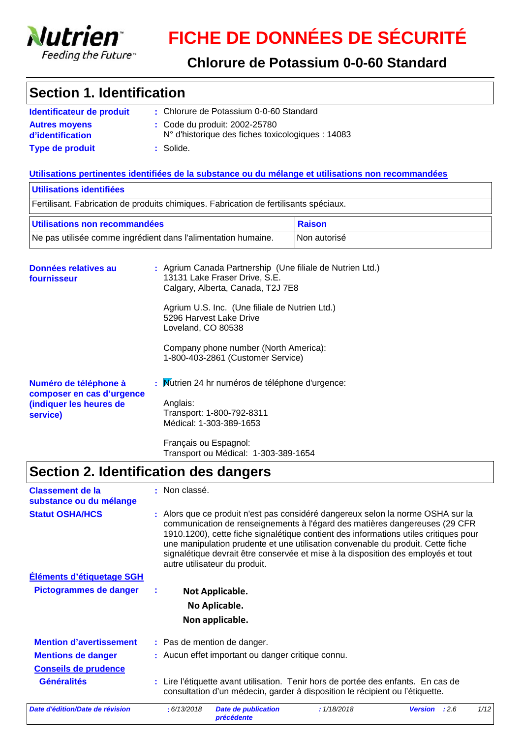

### **Chlorure de Potassium 0-0-60 Standard**

### **Section 1. Identification**

| Identificateur de produit                | : Chlorure de Potassium 0-0-60 Standard                                                     |
|------------------------------------------|---------------------------------------------------------------------------------------------|
| <b>Autres movens</b><br>d'identification | : Code du produit: 2002-25780<br>$N^{\circ}$ d'historique des fiches toxicologiques : 14083 |
| <b>Type de produit</b>                   | : Solide.                                                                                   |

#### **Utilisations pertinentes identifiées de la substance ou du mélange et utilisations non recommandées**

| Utilisations identifiées                                                                  |                                                                                                                                                                                                                                                                                                                  |               |  |
|-------------------------------------------------------------------------------------------|------------------------------------------------------------------------------------------------------------------------------------------------------------------------------------------------------------------------------------------------------------------------------------------------------------------|---------------|--|
|                                                                                           | Fertilisant. Fabrication de produits chimiques. Fabrication de fertilisants spéciaux.                                                                                                                                                                                                                            |               |  |
| Utilisations non recommandées                                                             |                                                                                                                                                                                                                                                                                                                  | <b>Raison</b> |  |
| Ne pas utilisée comme ingrédient dans l'alimentation humaine.                             |                                                                                                                                                                                                                                                                                                                  | lNon autorisé |  |
| Données relatives au<br>fournisseur                                                       | : Agrium Canada Partnership (Une filiale de Nutrien Ltd.)<br>13131 Lake Fraser Drive, S.E.<br>Calgary, Alberta, Canada, T2J 7E8<br>Agrium U.S. Inc. (Une filiale de Nutrien Ltd.)<br>5296 Harvest Lake Drive<br>Loveland, CO 80538<br>Company phone number (North America):<br>1-800-403-2861 (Customer Service) |               |  |
| Numéro de téléphone à<br>composer en cas d'urgence<br>(indiquer les heures de<br>service) | : Mutrien 24 hr numéros de téléphone d'urgence:<br>Anglais:<br>Transport: 1-800-792-8311                                                                                                                                                                                                                         |               |  |

Français ou Espagnol: Transport ou Médical: 1-303-389-1654

Médical: 1-303-389-1653

### **Section 2. Identification des dangers**

| <b>Classement de la</b><br>substance ou du mélange       | : Non classé.                                                                                                                                                                                                                                                                                                                                                                                                                                                  |      |  |  |
|----------------------------------------------------------|----------------------------------------------------------------------------------------------------------------------------------------------------------------------------------------------------------------------------------------------------------------------------------------------------------------------------------------------------------------------------------------------------------------------------------------------------------------|------|--|--|
| <b>Statut OSHA/HCS</b>                                   | : Alors que ce produit n'est pas considéré dangereux selon la norme OSHA sur la<br>communication de renseignements à l'égard des matières dangereuses (29 CFR<br>1910.1200), cette fiche signalétique contient des informations utiles critiques pour<br>une manipulation prudente et une utilisation convenable du produit. Cette fiche<br>signalétique devrait être conservée et mise à la disposition des employés et tout<br>autre utilisateur du produit. |      |  |  |
| <b>Éléments d'étiquetage SGH</b>                         |                                                                                                                                                                                                                                                                                                                                                                                                                                                                |      |  |  |
| Pictogrammes de danger                                   | Not Applicable.                                                                                                                                                                                                                                                                                                                                                                                                                                                |      |  |  |
|                                                          | No Aplicable.                                                                                                                                                                                                                                                                                                                                                                                                                                                  |      |  |  |
|                                                          | Non applicable.                                                                                                                                                                                                                                                                                                                                                                                                                                                |      |  |  |
| <b>Mention d'avertissement</b>                           | : Pas de mention de danger.                                                                                                                                                                                                                                                                                                                                                                                                                                    |      |  |  |
| <b>Mentions de danger</b><br><b>Conseils de prudence</b> | : Aucun effet important ou danger critique connu.                                                                                                                                                                                                                                                                                                                                                                                                              |      |  |  |
| <b>Généralités</b>                                       | : Lire l'étiquette avant utilisation. Tenir hors de portée des enfants. En cas de<br>consultation d'un médecin, garder à disposition le récipient ou l'étiquette.                                                                                                                                                                                                                                                                                              |      |  |  |
| Date d'édition/Date de révision                          | : 6/13/2018<br><b>Date de publication</b><br>: 1/18/2018<br>:2.6<br><b>Version</b><br>précédente                                                                                                                                                                                                                                                                                                                                                               | 1/12 |  |  |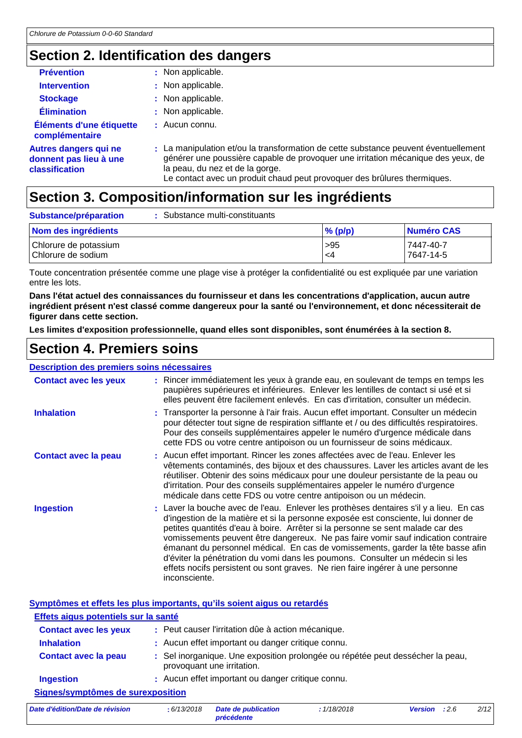## **Section 2. Identification des dangers**

| <b>Prévention</b>                                                        | : Non applicable.                                                                                                                                                                                                                                                                      |
|--------------------------------------------------------------------------|----------------------------------------------------------------------------------------------------------------------------------------------------------------------------------------------------------------------------------------------------------------------------------------|
| <b>Intervention</b>                                                      | : Non applicable.                                                                                                                                                                                                                                                                      |
| <b>Stockage</b>                                                          | : Non applicable.                                                                                                                                                                                                                                                                      |
| <b>Élimination</b>                                                       | : Non applicable.                                                                                                                                                                                                                                                                      |
| Éléments d'une étiquette<br>complémentaire                               | $\pm$ Aucun connu.                                                                                                                                                                                                                                                                     |
| <b>Autres dangers qui ne</b><br>donnent pas lieu à une<br>classification | : La manipulation et/ou la transformation de cette substance peuvent éventuellement<br>générer une poussière capable de provoquer une irritation mécanique des yeux, de<br>la peau, du nez et de la gorge.<br>Le contact avec un produit chaud peut provoquer des brûlures thermiques. |

### **Section 3. Composition/information sur les ingrédients**

| Substance/préparation                       | Substance multi-constituants |            |                        |
|---------------------------------------------|------------------------------|------------|------------------------|
| Nom des ingrédients                         |                              | $\%$ (p/p) | Numéro CAS             |
| Chlorure de potassium<br>Chlorure de sodium |                              | >95<br>-4  | 7447-40-7<br>7647-14-5 |

Toute concentration présentée comme une plage vise à protéger la confidentialité ou est expliquée par une variation entre les lots.

**Dans l'état actuel des connaissances du fournisseur et dans les concentrations d'application, aucun autre ingrédient présent n'est classé comme dangereux pour la santé ou l'environnement, et donc nécessiterait de figurer dans cette section.**

**Les limites d'exposition professionnelle, quand elles sont disponibles, sont énumérées à la section 8.**

### **Section 4. Premiers soins**

#### **Description des premiers soins nécessaires**

| <b>Contact avec les yeux</b> | : Rincer immédiatement les yeux à grande eau, en soulevant de temps en temps les<br>paupières supérieures et inférieures. Enlever les lentilles de contact si usé et si<br>elles peuvent être facilement enlevés. En cas d'irritation, consulter un médecin.                                                                                                                                                                                                                                                                                                                                                             |
|------------------------------|--------------------------------------------------------------------------------------------------------------------------------------------------------------------------------------------------------------------------------------------------------------------------------------------------------------------------------------------------------------------------------------------------------------------------------------------------------------------------------------------------------------------------------------------------------------------------------------------------------------------------|
| <b>Inhalation</b>            | : Transporter la personne à l'air frais. Aucun effet important. Consulter un médecin<br>pour détecter tout signe de respiration sifflante et / ou des difficultés respiratoires.<br>Pour des conseils supplémentaires appeler le numéro d'urgence médicale dans<br>cette FDS ou votre centre antipoison ou un fournisseur de soins médicaux.                                                                                                                                                                                                                                                                             |
| <b>Contact avec la peau</b>  | : Aucun effet important. Rincer les zones affectées avec de l'eau. Enlever les<br>vêtements contaminés, des bijoux et des chaussures. Laver les articles avant de les<br>réutiliser. Obtenir des soins médicaux pour une douleur persistante de la peau ou<br>d'irritation. Pour des conseils supplémentaires appeler le numéro d'urgence<br>médicale dans cette FDS ou votre centre antipoison ou un médecin.                                                                                                                                                                                                           |
| <b>Ingestion</b>             | : Laver la bouche avec de l'eau. Enlever les prothèses dentaires s'il y a lieu. En cas<br>d'ingestion de la matière et si la personne exposée est consciente, lui donner de<br>petites quantités d'eau à boire. Arrêter si la personne se sent malade car des<br>vomissements peuvent être dangereux. Ne pas faire vomir sauf indication contraire<br>émanant du personnel médical. En cas de vomissements, garder la tête basse afin<br>d'éviter la pénétration du vomi dans les poumons. Consulter un médecin si les<br>effets nocifs persistent ou sont graves. Ne rien faire ingérer à une personne<br>inconsciente. |

**Symptômes et effets les plus importants, qu'ils soient aigus ou retardés**

| Effets aigus potentiels sur la santé |                                                                                                              |
|--------------------------------------|--------------------------------------------------------------------------------------------------------------|
| <b>Contact avec les yeux</b>         | : Peut causer l'irritation dûe à action mécanique.                                                           |
| <b>Inhalation</b>                    | : Aucun effet important ou danger critique connu.                                                            |
| <b>Contact avec la peau</b>          | : Sel inorganique. Une exposition prolongée ou répétée peut dessécher la peau,<br>provoquant une irritation. |
| <b>Ingestion</b>                     | : Aucun effet important ou danger critique connu.                                                            |
| Signes/symptômes de surexposition    |                                                                                                              |
| .                                    | 11200222<br>$\cdots$ $\cdots$                                                                                |

*Date d'édition/Date de révision* **:** *6/13/2018 Date de publication précédente : 1/18/2018 Version : 2.6 2/12*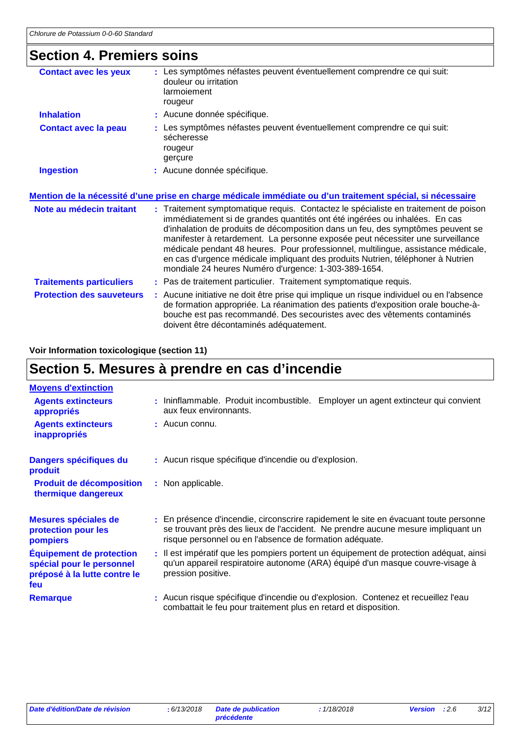### **Section 4. Premiers soins**

| <b>Contact avec les yeux</b>     | Les symptômes néfastes peuvent éventuellement comprendre ce qui suit:<br>douleur ou irritation<br>larmoiement<br>rougeur                                                                                                                                                                                                                                                                                                                                                                                                                                               |
|----------------------------------|------------------------------------------------------------------------------------------------------------------------------------------------------------------------------------------------------------------------------------------------------------------------------------------------------------------------------------------------------------------------------------------------------------------------------------------------------------------------------------------------------------------------------------------------------------------------|
| <b>Inhalation</b>                | : Aucune donnée spécifique.                                                                                                                                                                                                                                                                                                                                                                                                                                                                                                                                            |
| <b>Contact avec la peau</b>      | : Les symptômes néfastes peuvent éventuellement comprendre ce qui suit:<br>sécheresse<br>rougeur<br>gerçure                                                                                                                                                                                                                                                                                                                                                                                                                                                            |
| <b>Ingestion</b>                 | : Aucune donnée spécifique.                                                                                                                                                                                                                                                                                                                                                                                                                                                                                                                                            |
|                                  | Mention de la nécessité d'une prise en charge médicale immédiate ou d'un traitement spécial, si nécessaire                                                                                                                                                                                                                                                                                                                                                                                                                                                             |
| Note au médecin traitant         | : Traitement symptomatique requis. Contactez le spécialiste en traitement de poison<br>immédiatement si de grandes quantités ont été ingérées ou inhalées. En cas<br>d'inhalation de produits de décomposition dans un feu, des symptômes peuvent se<br>manifester à retardement. La personne exposée peut nécessiter une surveillance<br>médicale pendant 48 heures. Pour professionnel, multilingue, assistance médicale,<br>en cas d'urgence médicale impliquant des produits Nutrien, téléphoner à Nutrien<br>mondiale 24 heures Numéro d'urgence: 1-303-389-1654. |
| <b>Traitements particuliers</b>  | : Pas de traitement particulier. Traitement symptomatique requis.                                                                                                                                                                                                                                                                                                                                                                                                                                                                                                      |
| <b>Protection des sauveteurs</b> | : Aucune initiative ne doit être prise qui implique un risque individuel ou en l'absence<br>de formation appropriée. La réanimation des patients d'exposition orale bouche-à-<br>bouche est pas recommandé. Des secouristes avec des vêtements contaminés                                                                                                                                                                                                                                                                                                              |

doivent être décontaminés adéquatement.

#### **Voir Information toxicologique (section 11)**

# **Section 5. Mesures à prendre en cas d'incendie**

| <b>Moyens d'extinction</b>                                                                          |                                                                                                                                                                                                                                     |
|-----------------------------------------------------------------------------------------------------|-------------------------------------------------------------------------------------------------------------------------------------------------------------------------------------------------------------------------------------|
| <b>Agents extincteurs</b><br>appropriés                                                             | : Ininflammable. Produit incombustible. Employer un agent extincteur qui convient<br>aux feux environnants.                                                                                                                         |
| <b>Agents extincteurs</b><br><b>inappropriés</b>                                                    | : Aucun connu.                                                                                                                                                                                                                      |
| Dangers spécifiques du<br>produit                                                                   | : Aucun risque spécifique d'incendie ou d'explosion.                                                                                                                                                                                |
| <b>Produit de décomposition</b><br>thermique dangereux                                              | : Non applicable.                                                                                                                                                                                                                   |
| Mesures spéciales de<br>protection pour les<br>pompiers                                             | : En présence d'incendie, circonscrire rapidement le site en évacuant toute personne<br>se trouvant près des lieux de l'accident. Ne prendre aucune mesure impliquant un<br>risque personnel ou en l'absence de formation adéquate. |
| <b>Équipement de protection</b><br>spécial pour le personnel<br>préposé à la lutte contre le<br>feu | : Il est impératif que les pompiers portent un équipement de protection adéquat, ainsi<br>qu'un appareil respiratoire autonome (ARA) équipé d'un masque couvre-visage à<br>pression positive.                                       |
| <b>Remarque</b>                                                                                     | : Aucun risque spécifique d'incendie ou d'explosion. Contenez et recueillez l'eau<br>combattait le feu pour traitement plus en retard et disposition.                                                                               |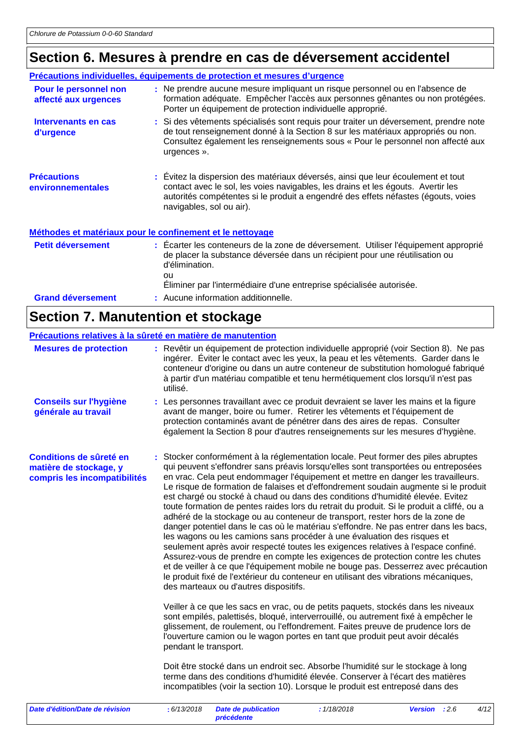# **Section 6. Mesures à prendre en cas de déversement accidentel**

|                                               | Précautions individuelles, équipements de protection et mesures d'urgence                                                                                                                                                                                                             |
|-----------------------------------------------|---------------------------------------------------------------------------------------------------------------------------------------------------------------------------------------------------------------------------------------------------------------------------------------|
| Pour le personnel non<br>affecté aux urgences | : Ne prendre aucune mesure impliquant un risque personnel ou en l'absence de<br>formation adéquate. Empêcher l'accès aux personnes gênantes ou non protégées.<br>Porter un équipement de protection individuelle approprié.                                                           |
| Intervenants en cas<br>d'urgence              | : Si des vêtements spécialisés sont requis pour traiter un déversement, prendre note<br>de tout renseignement donné à la Section 8 sur les matériaux appropriés ou non.<br>Consultez également les renseignements sous « Pour le personnel non affecté aux<br>urgences ».             |
| <b>Précautions</b><br>environnementales       | : Évitez la dispersion des matériaux déversés, ainsi que leur écoulement et tout<br>contact avec le sol, les voies navigables, les drains et les égouts. Avertir les<br>autorités compétentes si le produit a engendré des effets néfastes (égouts, voies<br>navigables, sol ou air). |
|                                               | Méthodes et matériaux pour le confinement et le nettoyage                                                                                                                                                                                                                             |
| Petit déversement                             | : Écarter les conteneurs de la zone de déversement. Utiliser l'équipement approprié<br>de placer la substance déversée dans un récipient pour une réutilisation ou<br>d'élimination.<br>ou<br>Eliminer par l'intermédiaire d'une entreprise spécialisée autorisée.                    |
| <b>Grand déversement</b>                      | : Aucune information additionnelle.                                                                                                                                                                                                                                                   |

# **Section 7. Manutention et stockage**

| Précautions relatives à la sûreté en matière de manutention                       |                                                                                                                                                                                                                                                                                                                                                                                                                                                                                                                                                                                                                                                                                                                                                                                                                                                                                                                                                                                                                                                                                                                                                                                                                                                                                                                                                                                                                                                                                                                                                                                                                                                                                                                                                                                                               |
|-----------------------------------------------------------------------------------|---------------------------------------------------------------------------------------------------------------------------------------------------------------------------------------------------------------------------------------------------------------------------------------------------------------------------------------------------------------------------------------------------------------------------------------------------------------------------------------------------------------------------------------------------------------------------------------------------------------------------------------------------------------------------------------------------------------------------------------------------------------------------------------------------------------------------------------------------------------------------------------------------------------------------------------------------------------------------------------------------------------------------------------------------------------------------------------------------------------------------------------------------------------------------------------------------------------------------------------------------------------------------------------------------------------------------------------------------------------------------------------------------------------------------------------------------------------------------------------------------------------------------------------------------------------------------------------------------------------------------------------------------------------------------------------------------------------------------------------------------------------------------------------------------------------|
| <b>Mesures de protection</b>                                                      | : Revêtir un équipement de protection individuelle approprié (voir Section 8). Ne pas<br>ingérer. Éviter le contact avec les yeux, la peau et les vêtements. Garder dans le<br>conteneur d'origine ou dans un autre conteneur de substitution homologué fabriqué<br>à partir d'un matériau compatible et tenu hermétiquement clos lorsqu'il n'est pas<br>utilisé.                                                                                                                                                                                                                                                                                                                                                                                                                                                                                                                                                                                                                                                                                                                                                                                                                                                                                                                                                                                                                                                                                                                                                                                                                                                                                                                                                                                                                                             |
| <b>Conseils sur l'hygiène</b><br>générale au travail                              | : Les personnes travaillant avec ce produit devraient se laver les mains et la figure<br>avant de manger, boire ou fumer. Retirer les vêtements et l'équipement de<br>protection contaminés avant de pénétrer dans des aires de repas. Consulter<br>également la Section 8 pour d'autres renseignements sur les mesures d'hygiène.                                                                                                                                                                                                                                                                                                                                                                                                                                                                                                                                                                                                                                                                                                                                                                                                                                                                                                                                                                                                                                                                                                                                                                                                                                                                                                                                                                                                                                                                            |
| Conditions de sûreté en<br>matière de stockage, y<br>compris les incompatibilités | : Stocker conformément à la réglementation locale. Peut former des piles abruptes<br>qui peuvent s'effondrer sans préavis lorsqu'elles sont transportées ou entreposées<br>en vrac. Cela peut endommager l'équipement et mettre en danger les travailleurs.<br>Le risque de formation de falaises et d'effondrement soudain augmente si le produit<br>est chargé ou stocké à chaud ou dans des conditions d'humidité élevée. Evitez<br>toute formation de pentes raides lors du retrait du produit. Si le produit a cliffé, ou a<br>adhéré de la stockage ou au conteneur de transport, rester hors de la zone de<br>danger potentiel dans le cas où le matériau s'effondre. Ne pas entrer dans les bacs,<br>les wagons ou les camions sans procéder à une évaluation des risques et<br>seulement après avoir respecté toutes les exigences relatives à l'espace confiné.<br>Assurez-vous de prendre en compte les exigences de protection contre les chutes<br>et de veiller à ce que l'équipement mobile ne bouge pas. Desserrez avec précaution<br>le produit fixé de l'extérieur du conteneur en utilisant des vibrations mécaniques,<br>des marteaux ou d'autres dispositifs.<br>Veiller à ce que les sacs en vrac, ou de petits paquets, stockés dans les niveaux<br>sont empilés, palettisés, bloqué, interverrouillé, ou autrement fixé à empêcher le<br>glissement, de roulement, ou l'effondrement. Faites preuve de prudence lors de<br>l'ouverture camion ou le wagon portes en tant que produit peut avoir décalés<br>pendant le transport.<br>Doit être stocké dans un endroit sec. Absorbe l'humidité sur le stockage à long<br>terme dans des conditions d'humidité élevée. Conserver à l'écart des matières<br>incompatibles (voir la section 10). Lorsque le produit est entreposé dans des |
| Date d'édition/Date de révision                                                   | : 6/13/2018<br><b>Date de publication</b><br>: 1/18/2018<br>Version : 2.6<br>4/12<br>précédente                                                                                                                                                                                                                                                                                                                                                                                                                                                                                                                                                                                                                                                                                                                                                                                                                                                                                                                                                                                                                                                                                                                                                                                                                                                                                                                                                                                                                                                                                                                                                                                                                                                                                                               |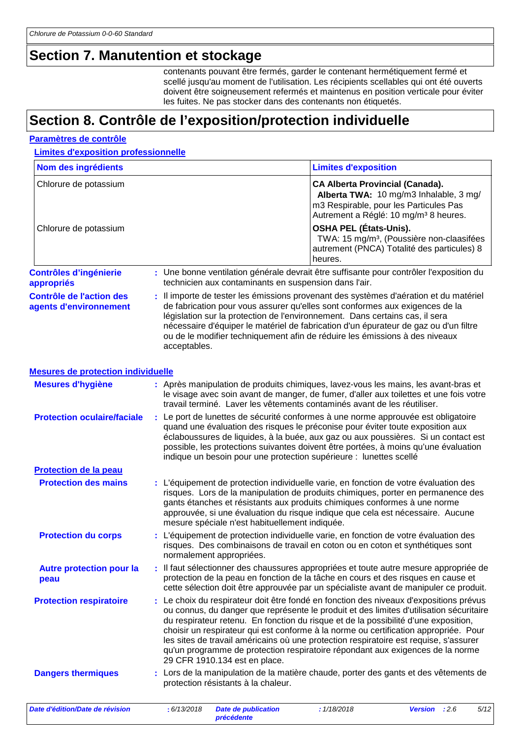### **Section 7. Manutention et stockage**

contenants pouvant être fermés, garder le contenant hermétiquement fermé et scellé jusqu'au moment de l'utilisation. Les récipients scellables qui ont été ouverts doivent être soigneusement refermés et maintenus en position verticale pour éviter les fuites. Ne pas stocker dans des contenants non étiquetés.

### **Section 8. Contrôle de l'exposition/protection individuelle**

#### **Paramètres de contrôle**

**Limites d'exposition professionnelle**

| Nom des ingrédients                                       |   |              |                                                       | <b>Limites d'exposition</b>                                                                                                                                                                                                                                                                                                                                                                                                                                                                                                               |                |      |      |
|-----------------------------------------------------------|---|--------------|-------------------------------------------------------|-------------------------------------------------------------------------------------------------------------------------------------------------------------------------------------------------------------------------------------------------------------------------------------------------------------------------------------------------------------------------------------------------------------------------------------------------------------------------------------------------------------------------------------------|----------------|------|------|
| Chlorure de potassium                                     |   |              |                                                       | <b>CA Alberta Provincial (Canada).</b><br>Alberta TWA: 10 mg/m3 Inhalable, 3 mg/<br>m3 Respirable, pour les Particules Pas<br>Autrement a Réglé: 10 mg/m <sup>3</sup> 8 heures.                                                                                                                                                                                                                                                                                                                                                           |                |      |      |
| Chlorure de potassium                                     |   |              |                                                       | <b>OSHA PEL (États-Unis).</b><br>TWA: 15 mg/m <sup>3</sup> , (Poussière non-claasifées<br>autrement (PNCA) Totalité des particules) 8<br>heures.                                                                                                                                                                                                                                                                                                                                                                                          |                |      |      |
| <b>Contrôles d'ingénierie</b><br>appropriés               |   |              | technicien aux contaminants en suspension dans l'air. | : Une bonne ventilation générale devrait être suffisante pour contrôler l'exposition du                                                                                                                                                                                                                                                                                                                                                                                                                                                   |                |      |      |
| <b>Contrôle de l'action des</b><br>agents d'environnement |   | acceptables. |                                                       | : Il importe de tester les émissions provenant des systèmes d'aération et du matériel<br>de fabrication pour vous assurer qu'elles sont conformes aux exigences de la<br>législation sur la protection de l'environnement. Dans certains cas, il sera<br>nécessaire d'équiper le matériel de fabrication d'un épurateur de gaz ou d'un filtre<br>ou de le modifier techniquement afin de réduire les émissions à des niveaux                                                                                                              |                |      |      |
| <b>Mesures de protection individuelle</b>                 |   |              |                                                       |                                                                                                                                                                                                                                                                                                                                                                                                                                                                                                                                           |                |      |      |
| <b>Mesures d'hygiène</b>                                  |   |              |                                                       | : Après manipulation de produits chimiques, lavez-vous les mains, les avant-bras et<br>le visage avec soin avant de manger, de fumer, d'aller aux toilettes et une fois votre<br>travail terminé. Laver les vêtements contaminés avant de les réutiliser.                                                                                                                                                                                                                                                                                 |                |      |      |
| <b>Protection oculaire/faciale</b>                        |   |              |                                                       | : Le port de lunettes de sécurité conformes à une norme approuvée est obligatoire<br>quand une évaluation des risques le préconise pour éviter toute exposition aux<br>éclaboussures de liquides, à la buée, aux gaz ou aux poussières. Si un contact est<br>possible, les protections suivantes doivent être portées, à moins qu'une évaluation<br>indique un besoin pour une protection supérieure : lunettes scellé                                                                                                                    |                |      |      |
| Protection de la peau                                     |   |              |                                                       |                                                                                                                                                                                                                                                                                                                                                                                                                                                                                                                                           |                |      |      |
| <b>Protection des mains</b>                               |   |              | mesure spéciale n'est habituellement indiquée.        | : L'équipement de protection individuelle varie, en fonction de votre évaluation des<br>risques. Lors de la manipulation de produits chimiques, porter en permanence des<br>gants étanches et résistants aux produits chimiques conformes à une norme<br>approuvée, si une évaluation du risque indique que cela est nécessaire. Aucune                                                                                                                                                                                                   |                |      |      |
| <b>Protection du corps</b>                                |   |              | normalement appropriées.                              | : L'équipement de protection individuelle varie, en fonction de votre évaluation des<br>risques. Des combinaisons de travail en coton ou en coton et synthétiques sont                                                                                                                                                                                                                                                                                                                                                                    |                |      |      |
| <b>Autre protection pour la</b><br>peau                   |   |              |                                                       | Il faut sélectionner des chaussures appropriées et toute autre mesure appropriée de<br>protection de la peau en fonction de la tâche en cours et des risques en cause et<br>cette sélection doit être approuvée par un spécialiste avant de manipuler ce produit.                                                                                                                                                                                                                                                                         |                |      |      |
| <b>Protection respiratoire</b>                            | ÷ |              | 29 CFR 1910.134 est en place.                         | Le choix du respirateur doit être fondé en fonction des niveaux d'expositions prévus<br>ou connus, du danger que représente le produit et des limites d'utilisation sécuritaire<br>du respirateur retenu. En fonction du risque et de la possibilité d'une exposition,<br>choisir un respirateur qui est conforme à la norme ou certification appropriée. Pour<br>les sites de travail américains où une protection respiratoire est requise, s'assurer<br>qu'un programme de protection respiratoire répondant aux exigences de la norme |                |      |      |
| <b>Dangers thermiques</b>                                 |   |              | protection résistants à la chaleur.                   | : Lors de la manipulation de la matière chaude, porter des gants et des vêtements de                                                                                                                                                                                                                                                                                                                                                                                                                                                      |                |      |      |
| Date d'édition/Date de révision                           |   | : 6/13/2018  | <b>Date de publication</b>                            | : 1/18/2018                                                                                                                                                                                                                                                                                                                                                                                                                                                                                                                               | <b>Version</b> | :2.6 | 5/12 |

*précédente*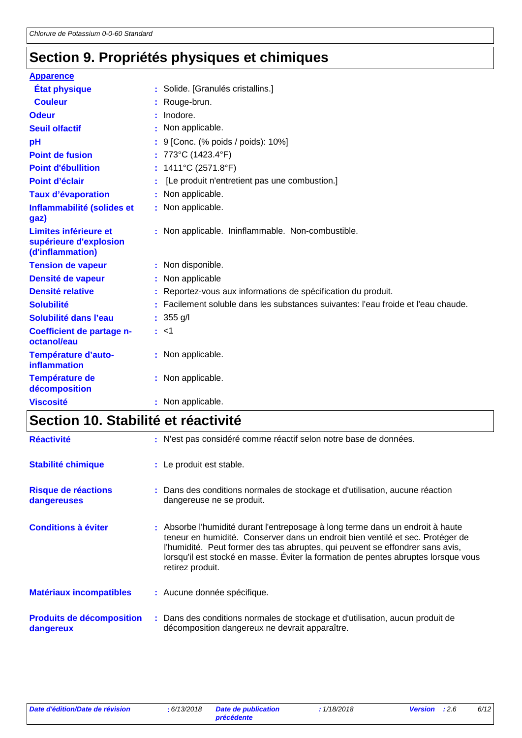# **Section 9. Propriétés physiques et chimiques**

| <b>Apparence</b>                                                    |                                                                                   |
|---------------------------------------------------------------------|-----------------------------------------------------------------------------------|
| <b>État physique</b>                                                | : Solide. [Granulés cristallins.]                                                 |
| <b>Couleur</b>                                                      | : Rouge-brun.                                                                     |
| <b>Odeur</b>                                                        | : Inodore.                                                                        |
| <b>Seuil olfactif</b>                                               | : Non applicable.                                                                 |
| pH                                                                  | : 9 [Conc. (% poids / poids): 10%]                                                |
| <b>Point de fusion</b>                                              | : 773°C (1423.4°F)                                                                |
| <b>Point d'ébullition</b>                                           | : $1411^{\circ}$ C (2571.8°F)                                                     |
| Point d'éclair                                                      | [Le produit n'entretient pas une combustion.]                                     |
| <b>Taux d'évaporation</b>                                           | : Non applicable.                                                                 |
| Inflammabilité (solides et<br>gaz)                                  | : Non applicable.                                                                 |
| Limites inférieure et<br>supérieure d'explosion<br>(d'inflammation) | : Non applicable. Ininflammable. Non-combustible.                                 |
| <b>Tension de vapeur</b>                                            | : Non disponible.                                                                 |
| Densité de vapeur                                                   | : Non applicable                                                                  |
| <b>Densité relative</b>                                             | : Reportez-vous aux informations de spécification du produit.                     |
| <b>Solubilité</b>                                                   | : Facilement soluble dans les substances suivantes: l'eau froide et l'eau chaude. |
| Solubilité dans l'eau                                               | : $355$ g/l                                                                       |
| Coefficient de partage n-<br>octanol/eau                            | : <1                                                                              |
| Température d'auto-<br>inflammation                                 | : Non applicable.                                                                 |
| <b>Température de</b><br>décomposition                              | : Non applicable.                                                                 |
| <b>Viscosité</b>                                                    | : Non applicable.                                                                 |

# **Section 10. Stabilité et réactivité**

| <b>Réactivité</b>                             | : N'est pas considéré comme réactif selon notre base de données.                                                                                                                                                                                                                                                                                            |
|-----------------------------------------------|-------------------------------------------------------------------------------------------------------------------------------------------------------------------------------------------------------------------------------------------------------------------------------------------------------------------------------------------------------------|
| <b>Stabilité chimique</b>                     | : Le produit est stable.                                                                                                                                                                                                                                                                                                                                    |
| Risque de réactions<br>dangereuses            | : Dans des conditions normales de stockage et d'utilisation, aucune réaction<br>dangereuse ne se produit.                                                                                                                                                                                                                                                   |
| <b>Conditions à éviter</b>                    | : Absorbe l'humidité durant l'entreposage à long terme dans un endroit à haute<br>teneur en humidité. Conserver dans un endroit bien ventilé et sec. Protéger de<br>l'humidité. Peut former des tas abruptes, qui peuvent se effondrer sans avis,<br>lorsqu'il est stocké en masse. Éviter la formation de pentes abruptes lorsque vous<br>retirez produit. |
| <b>Matériaux incompatibles</b>                | : Aucune donnée spécifique.                                                                                                                                                                                                                                                                                                                                 |
| <b>Produits de décomposition</b><br>dangereux | : Dans des conditions normales de stockage et d'utilisation, aucun produit de<br>décomposition dangereux ne devrait apparaître.                                                                                                                                                                                                                             |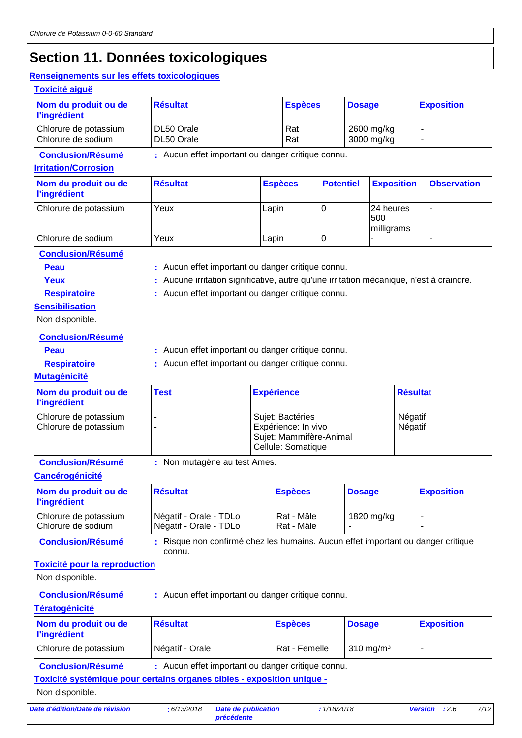## **Section 11. Données toxicologiques**

#### **Renseignements sur les effets toxicologiques**

| enseignements sur les effets toxicologiques             |                                                   |                |                |                  |               |                                |                    |
|---------------------------------------------------------|---------------------------------------------------|----------------|----------------|------------------|---------------|--------------------------------|--------------------|
| <b>Toxicité aiguë</b>                                   |                                                   |                |                |                  |               |                                |                    |
| Nom du produit ou de<br><b>l'ingrédient</b>             | <b>Résultat</b>                                   |                | <b>Espèces</b> |                  | <b>Dosage</b> |                                | <b>Exposition</b>  |
| Chlorure de potassium<br>Chlorure de sodium             | DL50 Orale<br>DL50 Orale                          |                | Rat<br>Rat     |                  |               | 2600 mg/kg<br>3000 mg/kg       |                    |
| <b>Conclusion/Résumé</b><br><b>Irritation/Corrosion</b> | : Aucun effet important ou danger critique connu. |                |                |                  |               |                                |                    |
| Nom du produit ou de<br><b>l'ingrédient</b>             | <b>Résultat</b>                                   | <b>Espèces</b> |                | <b>Potentiel</b> |               | <b>Exposition</b>              | <b>Observation</b> |
| Chlorure de potassium                                   | Yeux                                              | Lapin          |                | $\Omega$         |               | 24 heures<br>500<br>milligrams | ٠                  |
| Chlorure de sodium                                      | Yeux                                              | Lapin          |                | 10               |               |                                | ۰.                 |
| <b>Conclusion/Résumé</b>                                |                                                   |                |                |                  |               |                                |                    |

**Peau** : Aucun effet important ou danger critique connu.

Yeux **:** Aucune irritation significative, autre qu'une irritation mécanique, n'est à craindre. **Respiratoire :** Aucun effet important ou danger critique connu.

**Sensibilisation**

Non disponible.

**Conclusion/Résumé**

**Peau** : Aucun effet important ou danger critique connu.

**Respiratoire :** Aucun effet important ou danger critique connu.

#### **Mutagénicité**

| Nom du produit ou de<br><b>l'ingrédient</b>    | <b>Test</b> | <b>Expérience</b>                                                                        | <b>Résultat</b>    |
|------------------------------------------------|-------------|------------------------------------------------------------------------------------------|--------------------|
| Chlorure de potassium<br>Chlorure de potassium |             | Sujet: Bactéries<br>Expérience: In vivo<br>Sujet: Mammifère-Animal<br>Cellule: Somatique | Négatif<br>Négatif |

**Conclusion/Résumé :** Non mutagène au test Ames.

**Cancérogénicité**

| Nom du produit ou de<br><b>l'ingrédient</b> | <b>Résultat</b>                                  | <b>Espèces</b>             | <b>Dosage</b> | <b>Exposition</b> |
|---------------------------------------------|--------------------------------------------------|----------------------------|---------------|-------------------|
| Chlorure de potassium<br>Chlorure de sodium | Négatif - Orale - TDLo<br>Négatif - Orale - TDLo | Rat - Mâle<br>  Rat - Mâle | 1820 mg/kg    |                   |

**Conclusion/Résumé :** Risque non confirmé chez les humains. Aucun effet important ou danger critique connu.

#### **Toxicité pour la reproduction**

Non disponible.

**Conclusion/Résumé :** Aucun effet important ou danger critique connu.

#### **Tératogénicité**

| Nom du produit ou de<br><b>l'ingrédient</b> | Résultat        | <b>Espèces</b> | <b>Dosage</b>        | <b>Exposition</b> |
|---------------------------------------------|-----------------|----------------|----------------------|-------------------|
| Chlorure de potassium                       | Négatif - Orale | Rat - Femelle  | $310 \text{ ma/m}^3$ |                   |

**Conclusion/Résumé :** Aucun effet important ou danger critique connu.

**Toxicité systémique pour certains organes cibles - exposition unique -**

Non disponible.

*Date d'édition/Date de révision* **:** *6/13/2018 Date de publication*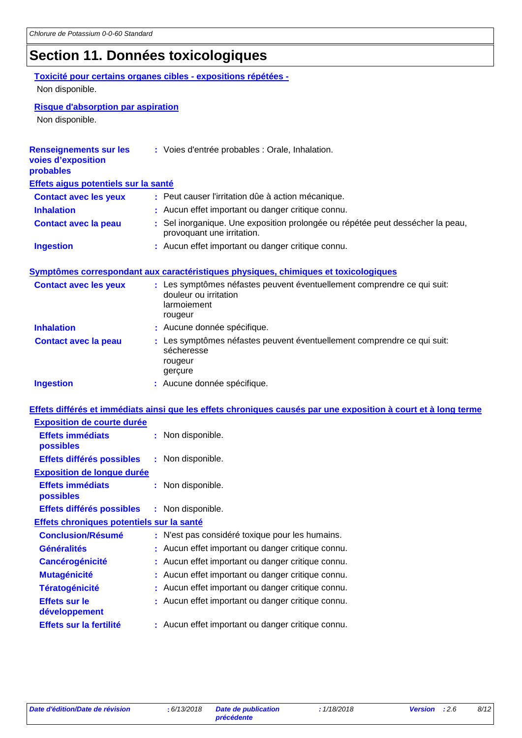# **Section 11. Données toxicologiques**

|                                                                  | Toxicité pour certains organes cibles - expositions répétées -                                                 |
|------------------------------------------------------------------|----------------------------------------------------------------------------------------------------------------|
| Non disponible.                                                  |                                                                                                                |
| <b>Risque d'absorption par aspiration</b>                        |                                                                                                                |
| Non disponible.                                                  |                                                                                                                |
|                                                                  |                                                                                                                |
| <b>Renseignements sur les</b><br>voies d'exposition<br>probables | : Voies d'entrée probables : Orale, Inhalation.                                                                |
| Effets aigus potentiels sur la santé                             |                                                                                                                |
| <b>Contact avec les yeux</b>                                     | : Peut causer l'irritation dûe à action mécanique.                                                             |
| <b>Inhalation</b>                                                | : Aucun effet important ou danger critique connu.                                                              |
| <b>Contact avec la peau</b>                                      | : Sel inorganique. Une exposition prolongée ou répétée peut dessécher la peau,<br>provoquant une irritation.   |
| <b>Ingestion</b>                                                 | : Aucun effet important ou danger critique connu.                                                              |
|                                                                  | Symptômes correspondant aux caractéristiques physiques, chimiques et toxicologiques                            |
| <b>Contact avec les yeux</b>                                     | : Les symptômes néfastes peuvent éventuellement comprendre ce qui suit:                                        |
|                                                                  | douleur ou irritation<br>larmoiement<br>rougeur                                                                |
| <b>Inhalation</b>                                                | : Aucune donnée spécifique.                                                                                    |
| <b>Contact avec la peau</b>                                      | : Les symptômes néfastes peuvent éventuellement comprendre ce qui suit:<br>sécheresse<br>rougeur<br>gerçure    |
| <b>Ingestion</b>                                                 | : Aucune donnée spécifique.                                                                                    |
|                                                                  | Effets différés et immédiats ainsi que les effets chroniques causés par une exposition à court et à long terme |
| <b>Exposition de courte durée</b>                                |                                                                                                                |
| <b>Effets immédiats</b><br>possibles                             | : Non disponible.                                                                                              |
| Effets différés possibles                                        | : Non disponible.                                                                                              |
| <b>Exposition de longue durée</b>                                |                                                                                                                |
| <b>Effets immédiats</b><br>possibles                             | : Non disponible.                                                                                              |
| Effets différés possibles                                        | : Non disponible.                                                                                              |
| Effets chroniques potentiels sur la santé                        |                                                                                                                |
| <b>Conclusion/Résumé</b>                                         | : N'est pas considéré toxique pour les humains.                                                                |
| <b>Généralités</b>                                               | Aucun effet important ou danger critique connu.                                                                |
| <b>Cancérogénicité</b>                                           | : Aucun effet important ou danger critique connu.                                                              |
| <b>Mutagénicité</b>                                              | Aucun effet important ou danger critique connu.                                                                |
| <b>Tératogénicité</b>                                            | Aucun effet important ou danger critique connu.                                                                |
| <b>Effets sur le</b><br>développement                            | Aucun effet important ou danger critique connu.                                                                |
| Effets sur la fertilité                                          | : Aucun effet important ou danger critique connu.                                                              |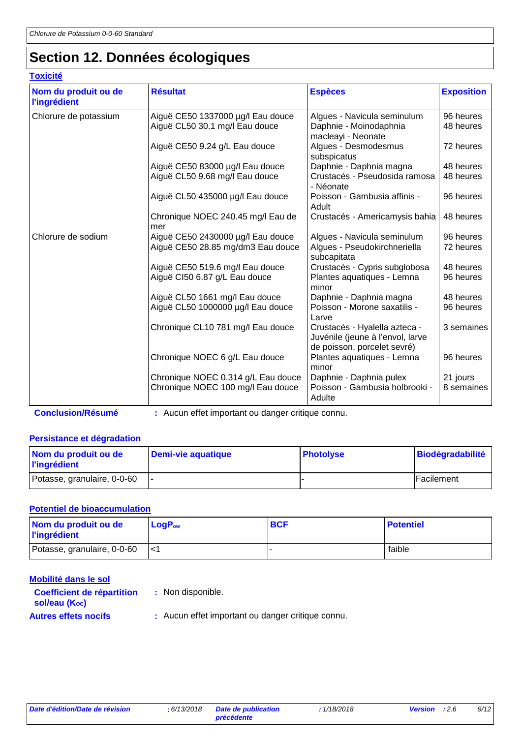# **Section 12. Données écologiques**

### **Toxicité**

| Nom du produit ou de<br><b>l'ingrédient</b> | <b>Résultat</b>                                                         | <b>Espèces</b>                                                                                   | <b>Exposition</b>      |
|---------------------------------------------|-------------------------------------------------------------------------|--------------------------------------------------------------------------------------------------|------------------------|
| Chlorure de potassium                       | Aiguë CE50 1337000 µg/l Eau douce<br>Aiguë CL50 30.1 mg/l Eau douce     | Algues - Navicula seminulum<br>Daphnie - Moinodaphnia<br>macleayi - Neonate                      | 96 heures<br>48 heures |
|                                             | Aiguë CE50 9.24 g/L Eau douce                                           | Algues - Desmodesmus<br>subspicatus                                                              | 72 heures              |
|                                             | Aiguë CE50 83000 µg/l Eau douce<br>Aiguë CL50 9.68 mg/l Eau douce       | Daphnie - Daphnia magna<br>Crustacés - Pseudosida ramosa<br>- Néonate                            | 48 heures<br>48 heures |
|                                             | Aiguë CL50 435000 µg/l Eau douce                                        | Poisson - Gambusia affinis -<br>Adult                                                            | 96 heures              |
|                                             | Chronique NOEC 240.45 mg/l Eau de<br>mer                                | Crustacés - Americamysis bahia                                                                   | 48 heures              |
| Chlorure de sodium                          | Aiguë CE50 2430000 µg/l Eau douce<br>Aiguë CE50 28.85 mg/dm3 Eau douce  | Algues - Navicula seminulum<br>Algues - Pseudokirchneriella<br>subcapitata                       | 96 heures<br>72 heures |
|                                             | Aiguë CE50 519.6 mg/l Eau douce<br>Aiguë CI50 6.87 g/L Eau douce        | Crustacés - Cypris subglobosa<br>Plantes aquatiques - Lemna<br>minor                             | 48 heures<br>96 heures |
|                                             | Aiguë CL50 1661 mg/l Eau douce<br>Aiguë CL50 1000000 µg/l Eau douce     | Daphnie - Daphnia magna<br>Poisson - Morone saxatilis -<br>Larve                                 | 48 heures<br>96 heures |
|                                             | Chronique CL10 781 mg/l Eau douce                                       | Crustacés - Hyalella azteca -<br>Juvénile (jeune à l'envol, larve<br>de poisson, porcelet sevré) | 3 semaines             |
|                                             | Chronique NOEC 6 g/L Eau douce                                          | Plantes aquatiques - Lemna<br>minor                                                              | 96 heures              |
|                                             | Chronique NOEC 0.314 g/L Eau douce<br>Chronique NOEC 100 mg/l Eau douce | Daphnie - Daphnia pulex<br>Poisson - Gambusia holbrooki -<br>Adulte                              | 21 jours<br>8 semaines |

**Conclusion/Résumé :** Aucun effet important ou danger critique connu.

#### **Persistance et dégradation**

| Nom du produit ou de<br><b>l'ingrédient</b> | Demi-vie aquatique | <b>Photolyse</b> | <b>Biodégradabilité</b> |
|---------------------------------------------|--------------------|------------------|-------------------------|
| Potasse, granulaire, 0-0-60                 |                    |                  | Facilement              |

#### **Potentiel de bioaccumulation**

| Nom du produit ou de<br><b>l'ingrédient</b> | $\mathsf{LogP}_\mathsf{ow}$ | <b>BCF</b> | <b>Potentiel</b> |
|---------------------------------------------|-----------------------------|------------|------------------|
| Potasse, granulaire, 0-0-60                 | l<1                         |            | faible           |

| Mobilité dans le sol                               |                                                   |
|----------------------------------------------------|---------------------------------------------------|
| <b>Coefficient de répartition</b><br>sol/eau (Koc) | : Non disponible.                                 |
| <b>Autres effets nocifs</b>                        | : Aucun effet important ou danger critique connu. |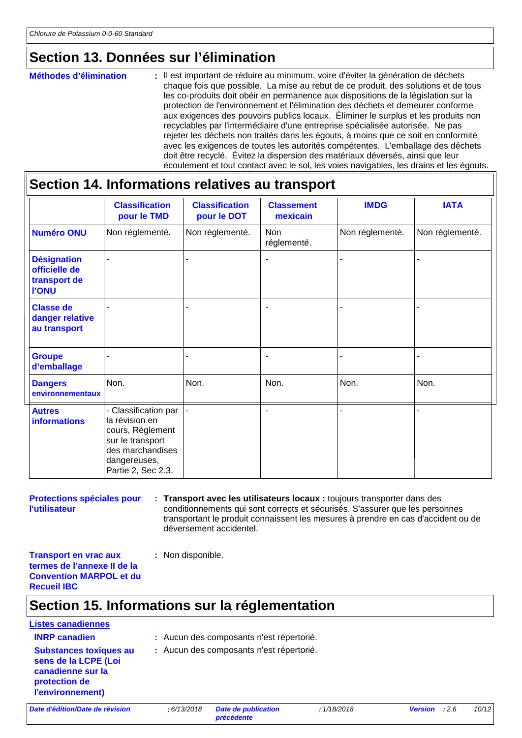## **Section 13. Données sur l'élimination**

#### : Il est important de réduire au minimum, voire d'éviter la génération de déchets chaque fois que possible. La mise au rebut de ce produit, des solutions et de tous les co-produits doit obéir en permanence aux dispositions de la législation sur la protection de l'environnement et l'élimination des déchets et demeurer conforme aux exigences des pouvoirs publics locaux. Éliminer le surplus et les produits non recyclables par l'intermédiaire d'une entreprise spécialisée autorisée. Ne pas rejeter les déchets non traités dans les égouts, à moins que ce soit en conformité avec les exigences de toutes les autorités compétentes. L'emballage des déchets doit être recyclé. Évitez la dispersion des matériaux déversés, ainsi que leur écoulement et tout contact avec le sol, les voies navigables, les drains et les égouts. **Méthodes d'élimination :**

### **Section 14. Informations relatives au transport**

|                                                                     | <b>Classification</b><br>pour le TMD                                                                                                     | <b>Classification</b><br>pour le DOT | <b>Classement</b><br>mexicain | <b>IMDG</b>     | <b>IATA</b>     |
|---------------------------------------------------------------------|------------------------------------------------------------------------------------------------------------------------------------------|--------------------------------------|-------------------------------|-----------------|-----------------|
| <b>Numéro ONU</b>                                                   | Non réglementé.                                                                                                                          | Non réglementé.                      | <b>Non</b><br>réglementé.     | Non réglementé. | Non réglementé. |
| <b>Désignation</b><br>officielle de<br>transport de<br><b>I'ONU</b> |                                                                                                                                          |                                      | ٠                             |                 |                 |
| <b>Classe de</b><br>danger relative<br>au transport                 |                                                                                                                                          |                                      |                               |                 |                 |
| <b>Groupe</b><br>d'emballage                                        |                                                                                                                                          | $\blacksquare$                       | $\blacksquare$                | ۰               |                 |
| <b>Dangers</b><br>environnementaux                                  | Non.                                                                                                                                     | Non.                                 | Non.                          | Non.            | Non.            |
| <b>Autres</b><br><b>informations</b>                                | - Classification par<br>la révision en<br>cours, Règlement<br>sur le transport<br>des marchandises<br>dangereuses,<br>Partie 2, Sec 2.3. |                                      | ٠                             |                 |                 |

**Protections spéciales pour l'utilisateur**

**Transport avec les utilisateurs locaux :** toujours transporter dans des **:** conditionnements qui sont corrects et sécurisés. S'assurer que les personnes transportant le produit connaissent les mesures à prendre en cas d'accident ou de déversement accidentel.

**Transport en vrac aux termes de l'annexe II de la Convention MARPOL et du Recueil IBC**

### **Section 15. Informations sur la réglementation**

**:** Non disponible.

### **Listes canadiennes Substances toxiques au sens de la LCPE (Loi**

**canadienne sur la protection de l'environnement)**

- **INRP canadien :** Aucun des composants n'est répertorié.
	- **:** Aucun des composants n'est répertorié.

*Date d'édition/Date de révision* **:** *6/13/2018 Date de publication*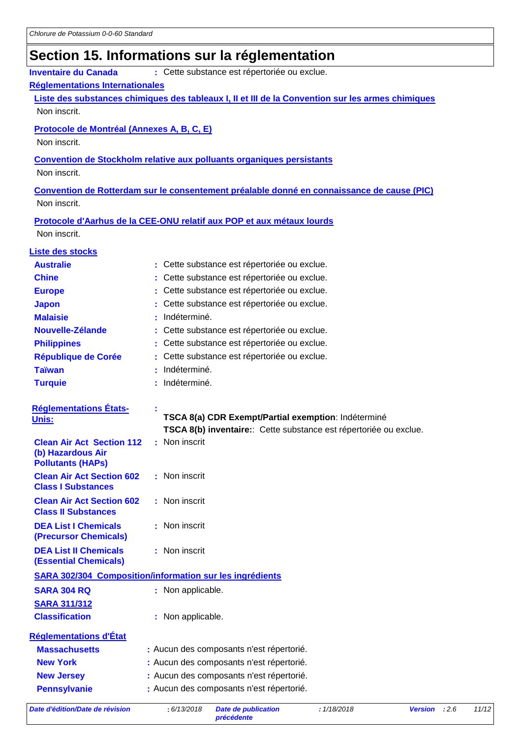# **Section 15. Informations sur la réglementation**

| : Cette substance est répertoriée ou exclue.<br><b>Inventaire du Canada</b> |  |                                                                                                   |  |  |
|-----------------------------------------------------------------------------|--|---------------------------------------------------------------------------------------------------|--|--|
| Réglementations Internationales                                             |  |                                                                                                   |  |  |
|                                                                             |  | Liste des substances chimiques des tableaux I, II et III de la Convention sur les armes chimiques |  |  |
| Non inscrit.                                                                |  |                                                                                                   |  |  |
| Protocole de Montréal (Annexes A, B, C, E)                                  |  |                                                                                                   |  |  |
| Non inscrit.                                                                |  |                                                                                                   |  |  |
|                                                                             |  |                                                                                                   |  |  |
| Non inscrit.                                                                |  | <b>Convention de Stockholm relative aux polluants organiques persistants</b>                      |  |  |
|                                                                             |  |                                                                                                   |  |  |
|                                                                             |  | Convention de Rotterdam sur le consentement préalable donné en connaissance de cause (PIC)        |  |  |
| Non inscrit.                                                                |  |                                                                                                   |  |  |
|                                                                             |  | Protocole d'Aarhus de la CEE-ONU relatif aux POP et aux métaux lourds                             |  |  |
| Non inscrit.                                                                |  |                                                                                                   |  |  |
| <b>Liste des stocks</b>                                                     |  |                                                                                                   |  |  |
| <b>Australie</b>                                                            |  | Cette substance est répertoriée ou exclue.                                                        |  |  |
| <b>Chine</b>                                                                |  | Cette substance est répertoriée ou exclue.                                                        |  |  |
| <b>Europe</b>                                                               |  | Cette substance est répertoriée ou exclue.                                                        |  |  |
| <b>Japon</b>                                                                |  | Cette substance est répertoriée ou exclue.                                                        |  |  |
| <b>Malaisie</b>                                                             |  | Indéterminé.                                                                                      |  |  |
| Nouvelle-Zélande                                                            |  | Cette substance est répertoriée ou exclue.                                                        |  |  |
| <b>Philippines</b>                                                          |  | Cette substance est répertoriée ou exclue.                                                        |  |  |
| <b>République de Corée</b>                                                  |  | Cette substance est répertoriée ou exclue.                                                        |  |  |
| <b>Taïwan</b>                                                               |  | Indéterminé.                                                                                      |  |  |
| <b>Turquie</b>                                                              |  | Indéterminé.                                                                                      |  |  |
|                                                                             |  |                                                                                                   |  |  |
| <b>Réglementations États-</b><br><u>Unis:</u>                               |  | TSCA 8(a) CDR Exempt/Partial exemption: Indéterminé                                               |  |  |
|                                                                             |  | TSCA 8(b) inventaire: Cette substance est répertoriée ou exclue.                                  |  |  |
| <b>Clean Air Act Section 112</b>                                            |  | : Non inscrit                                                                                     |  |  |
| (b) Hazardous Air                                                           |  |                                                                                                   |  |  |
| <b>Pollutants (HAPs)</b><br><b>Clean Air Act Section 602</b>                |  | : Non inscrit                                                                                     |  |  |
| <b>Class I Substances</b>                                                   |  |                                                                                                   |  |  |
| <b>Clean Air Act Section 602</b>                                            |  | : Non inscrit                                                                                     |  |  |
| <b>Class II Substances</b>                                                  |  |                                                                                                   |  |  |
| <b>DEA List I Chemicals</b>                                                 |  | : Non inscrit                                                                                     |  |  |
| (Precursor Chemicals)                                                       |  |                                                                                                   |  |  |
| <b>DEA List II Chemicals</b>                                                |  | : Non inscrit                                                                                     |  |  |
| <b>(Essential Chemicals)</b>                                                |  |                                                                                                   |  |  |
|                                                                             |  | <b>SARA 302/304 Composition/information sur les ingrédients</b>                                   |  |  |
| <b>SARA 304 RQ</b>                                                          |  | : Non applicable.                                                                                 |  |  |
| <b>SARA 311/312</b>                                                         |  |                                                                                                   |  |  |
| <b>Classification</b>                                                       |  | : Non applicable.                                                                                 |  |  |
| <b>Réglementations d'État</b>                                               |  |                                                                                                   |  |  |
| <b>Massachusetts</b>                                                        |  | : Aucun des composants n'est répertorié.                                                          |  |  |
| <b>New York</b>                                                             |  | : Aucun des composants n'est répertorié.                                                          |  |  |
| <b>New Jersey</b>                                                           |  | : Aucun des composants n'est répertorié.                                                          |  |  |
| <b>Pennsylvanie</b>                                                         |  | : Aucun des composants n'est répertorié.                                                          |  |  |
|                                                                             |  |                                                                                                   |  |  |

*Date d'édition/Date de révision* **:** *6/13/2018 Date de publication* 

*précédente*